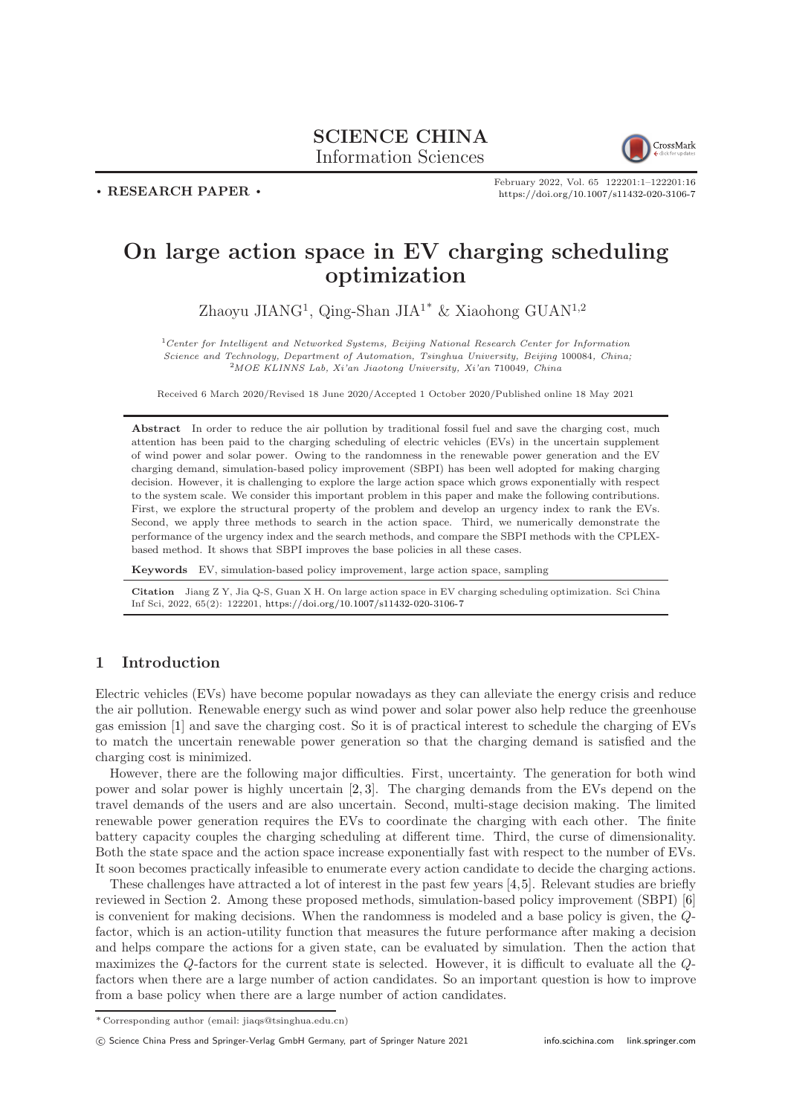## SCIENCE CHINA Information Sciences



. RESEARCH PAPER .

February 2022, Vol. 65 122201:1–122201[:16](#page-15-0) <https://doi.org/10.1007/s11432-020-3106-7>

# On large action space in EV charging scheduling optimization

Zhaoyu JIANG<sup>1</sup>, Qing-Shan JIA<sup>1\*</sup> & Xiaohong GUAN<sup>1,2</sup>

 $1$ Center for Intelligent and Networked Systems, Beijing National Research Center for Information Science and Technology, Department of Automation, Tsinghua University, Beijing 100084, China; <sup>2</sup>MOE KLINNS Lab, Xi'an Jiaotong University, Xi'an 710049, China

Received 6 March 2020/Revised 18 June 2020/Accepted 1 October 2020/Published online 18 May 2021

Abstract In order to reduce the air pollution by traditional fossil fuel and save the charging cost, much attention has been paid to the charging scheduling of electric vehicles (EVs) in the uncertain supplement of wind power and solar power. Owing to the randomness in the renewable power generation and the EV charging demand, simulation-based policy improvement (SBPI) has been well adopted for making charging decision. However, it is challenging to explore the large action space which grows exponentially with respect to the system scale. We consider this important problem in this paper and make the following contributions. First, we explore the structural property of the problem and develop an urgency index to rank the EVs. Second, we apply three methods to search in the action space. Third, we numerically demonstrate the performance of the urgency index and the search methods, and compare the SBPI methods with the CPLEXbased method. It shows that SBPI improves the base policies in all these cases.

Keywords EV, simulation-based policy improvement, large action space, sampling

Citation Jiang Z Y, Jia Q-S, Guan X H. On large action space in EV charging scheduling optimization. Sci China Inf Sci, 2022, 65(2): 122201, <https://doi.org/10.1007/s11432-020-3106-7>

## 1 Introduction

Electric vehicles (EVs) have become popular nowadays as they can alleviate the energy crisis and reduce the air pollution. Renewable energy such as wind power and solar power also help reduce the greenhouse gas emission [\[1\]](#page-14-0) and save the charging cost. So it is of practical interest to schedule the charging of EVs to match the uncertain renewable power generation so that the charging demand is satisfied and the charging cost is minimized.

However, there are the following major difficulties. First, uncertainty. The generation for both wind power and solar power is highly uncertain [\[2,](#page-14-1) [3\]](#page-14-2). The charging demands from the EVs depend on the travel demands of the users and are also uncertain. Second, multi-stage decision making. The limited renewable power generation requires the EVs to coordinate the charging with each other. The finite battery capacity couples the charging scheduling at different time. Third, the curse of dimensionality. Both the state space and the action space increase exponentially fast with respect to the number of EVs. It soon becomes practically infeasible to enumerate every action candidate to decide the charging actions.

These challenges have attracted a lot of interest in the past few years [\[4,](#page-14-3)[5\]](#page-14-4). Relevant studies are briefly reviewed in Section 2. Among these proposed methods, simulation-based policy improvement (SBPI) [\[6\]](#page-14-5) is convenient for making decisions. When the randomness is modeled and a base policy is given, the Qfactor, which is an action-utility function that measures the future performance after making a decision and helps compare the actions for a given state, can be evaluated by simulation. Then the action that maximizes the Q-factors for the current state is selected. However, it is difficult to evaluate all the Qfactors when there are a large number of action candidates. So an important question is how to improve from a base policy when there are a large number of action candidates.

<sup>\*</sup> Corresponding author (email: jiaqs@tsinghua.edu.cn)

c Science China Press and Springer-Verlag GmbH Germany, part of Springer Nature 2021 <info.scichina.com><link.springer.com>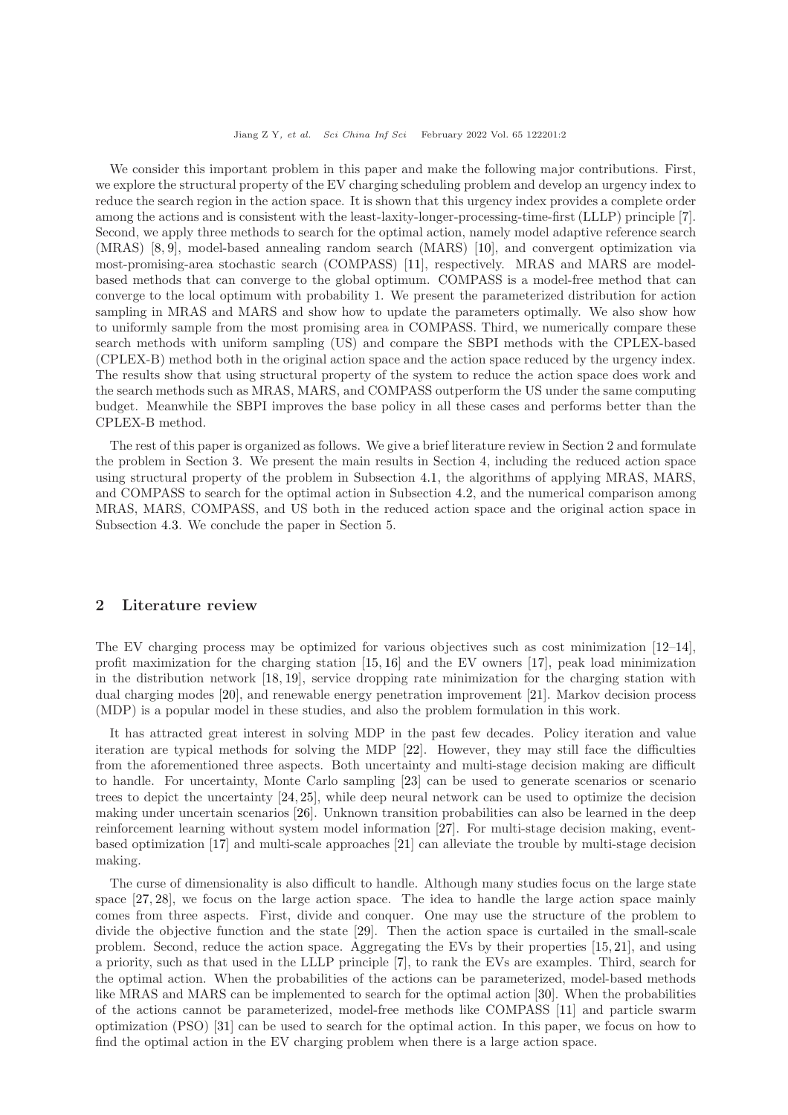We consider this important problem in this paper and make the following major contributions. First, we explore the structural property of the EV charging scheduling problem and develop an urgency index to reduce the search region in the action space. It is shown that this urgency index provides a complete order among the actions and is consistent with the least-laxity-longer-processing-time-first (LLLP) principle [\[7\]](#page-14-6). Second, we apply three methods to search for the optimal action, namely model adaptive reference search (MRAS) [\[8,](#page-14-7) [9\]](#page-14-8), model-based annealing random search (MARS) [\[10\]](#page-14-9), and convergent optimization via most-promising-area stochastic search (COMPASS) [\[11\]](#page-14-10), respectively. MRAS and MARS are modelbased methods that can converge to the global optimum. COMPASS is a model-free method that can converge to the local optimum with probability 1. We present the parameterized distribution for action sampling in MRAS and MARS and show how to update the parameters optimally. We also show how to uniformly sample from the most promising area in COMPASS. Third, we numerically compare these search methods with uniform sampling (US) and compare the SBPI methods with the CPLEX-based (CPLEX-B) method both in the original action space and the action space reduced by the urgency index. The results show that using structural property of the system to reduce the action space does work and the search methods such as MRAS, MARS, and COMPASS outperform the US under the same computing budget. Meanwhile the SBPI improves the base policy in all these cases and performs better than the CPLEX-B method.

The rest of this paper is organized as follows. We give a brief literature review in Section 2 and formulate the problem in Section 3. We present the main results in Section 4, including the reduced action space using structural property of the problem in Subsection [4.1,](#page-4-0) the algorithms of applying MRAS, MARS, and COMPASS to search for the optimal action in Subsection [4.2,](#page-5-0) and the numerical comparison among MRAS, MARS, COMPASS, and US both in the reduced action space and the original action space in Subsection [4.3.](#page-10-0) We conclude the paper in Section 5.

#### 2 Literature review

The EV charging process may be optimized for various objectives such as cost minimization [\[12](#page-14-11)[–14\]](#page-14-12), profit maximization for the charging station [\[15,](#page-14-13) [16\]](#page-14-14) and the EV owners [\[17\]](#page-14-15), peak load minimization in the distribution network [\[18,](#page-14-16) [19\]](#page-14-17), service dropping rate minimization for the charging station with dual charging modes [\[20\]](#page-14-18), and renewable energy penetration improvement [\[21\]](#page-14-19). Markov decision process (MDP) is a popular model in these studies, and also the problem formulation in this work.

It has attracted great interest in solving MDP in the past few decades. Policy iteration and value iteration are typical methods for solving the MDP [\[22\]](#page-14-20). However, they may still face the difficulties from the aforementioned three aspects. Both uncertainty and multi-stage decision making are difficult to handle. For uncertainty, Monte Carlo sampling [\[23\]](#page-14-21) can be used to generate scenarios or scenario trees to depict the uncertainty [\[24,](#page-14-22) [25\]](#page-14-23), while deep neural network can be used to optimize the decision making under uncertain scenarios [\[26\]](#page-14-24). Unknown transition probabilities can also be learned in the deep reinforcement learning without system model information [\[27\]](#page-14-25). For multi-stage decision making, eventbased optimization [\[17\]](#page-14-15) and multi-scale approaches [\[21\]](#page-14-19) can alleviate the trouble by multi-stage decision making.

The curse of dimensionality is also difficult to handle. Although many studies focus on the large state space [\[27,](#page-14-25) [28\]](#page-15-1), we focus on the large action space. The idea to handle the large action space mainly comes from three aspects. First, divide and conquer. One may use the structure of the problem to divide the objective function and the state [\[29\]](#page-15-2). Then the action space is curtailed in the small-scale problem. Second, reduce the action space. Aggregating the EVs by their properties [\[15,](#page-14-13) [21\]](#page-14-19), and using a priority, such as that used in the LLLP principle [\[7\]](#page-14-6), to rank the EVs are examples. Third, search for the optimal action. When the probabilities of the actions can be parameterized, model-based methods like MRAS and MARS can be implemented to search for the optimal action [\[30\]](#page-15-3). When the probabilities of the actions cannot be parameterized, model-free methods like COMPASS [\[11\]](#page-14-10) and particle swarm optimization (PSO) [\[31\]](#page-15-4) can be used to search for the optimal action. In this paper, we focus on how to find the optimal action in the EV charging problem when there is a large action space.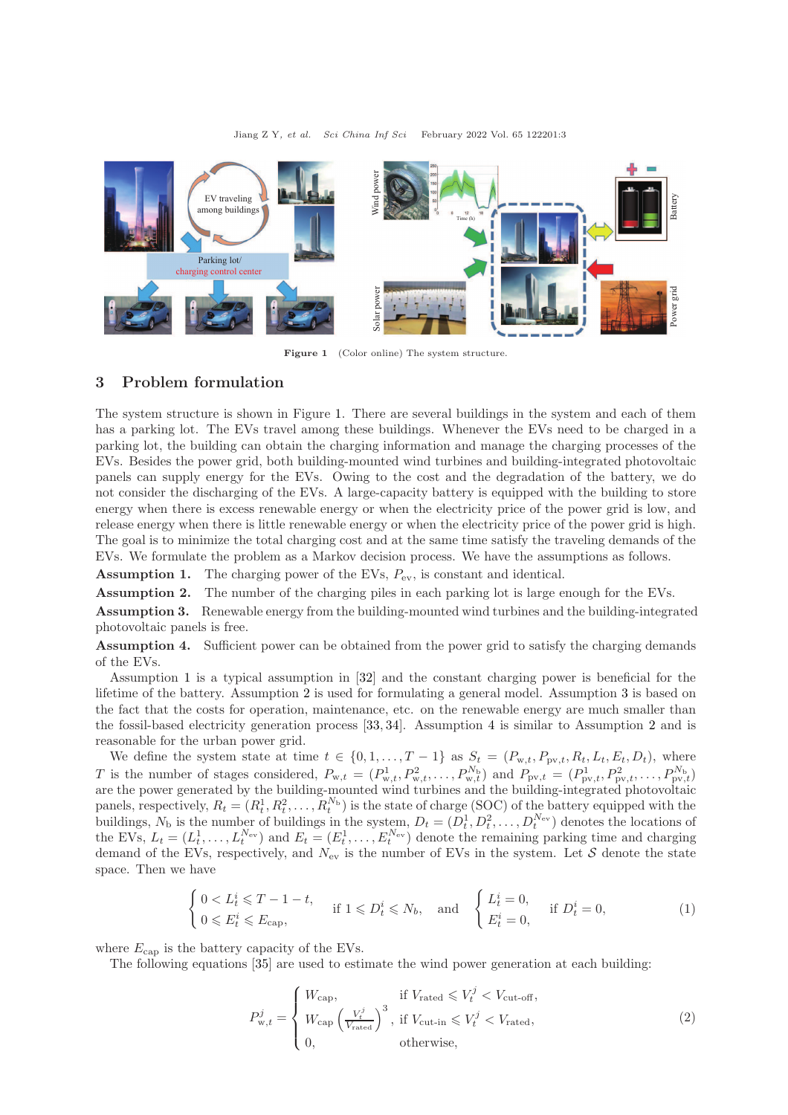Jiang Z Y, et al. Sci China Inf Sci February 2022 Vol. 65 122201:3

<span id="page-2-0"></span>

Figure 1 (Color online) The system structure.

## 3 Problem formulation

The system structure is shown in Figure [1.](#page-2-0) There are several buildings in the system and each of them has a parking lot. The EVs travel among these buildings. Whenever the EVs need to be charged in a parking lot, the building can obtain the charging information and manage the charging processes of the EVs. Besides the power grid, both building-mounted wind turbines and building-integrated photovoltaic panels can supply energy for the EVs. Owing to the cost and the degradation of the battery, we do not consider the discharging of the EVs. A large-capacity battery is equipped with the building to store energy when there is excess renewable energy or when the electricity price of the power grid is low, and release energy when there is little renewable energy or when the electricity price of the power grid is high. The goal is to minimize the total charging cost and at the same time satisfy the traveling demands of the EVs. We formulate the problem as a Markov decision process. We have the assumptions as follows.

<span id="page-2-1"></span>**Assumption 1.** The charging power of the EVs,  $P_{\text{ev}}$ , is constant and identical.

<span id="page-2-2"></span>Assumption 2. The number of the charging piles in each parking lot is large enough for the EVs.

<span id="page-2-3"></span>Assumption 3. Renewable energy from the building-mounted wind turbines and the building-integrated photovoltaic panels is free.

<span id="page-2-4"></span>Assumption 4. Sufficient power can be obtained from the power grid to satisfy the charging demands of the EVs.

Assumption [1](#page-2-1) is a typical assumption in [\[32\]](#page-15-5) and the constant charging power is beneficial for the lifetime of the battery. Assumption [2](#page-2-2) is used for formulating a general model. Assumption [3](#page-2-3) is based on the fact that the costs for operation, maintenance, etc. on the renewable energy are much smaller than the fossil-based electricity generation process [\[33,](#page-15-6) [34\]](#page-15-7). Assumption [4](#page-2-4) is similar to Assumption [2](#page-2-2) and is reasonable for the urban power grid.

We define the system state at time  $t \in \{0, 1, \ldots, T-1\}$  as  $S_t = (P_{w,t}, P_{pv,t}, R_t, L_t, E_t, D_t)$ , where T is the number of stages considered,  $P_{w,t} = (P_{w,t}^1, P_{w,t}^2, \ldots, P_{w,t}^{N_b})$  and  $P_{pv,t} = (P_{pv,t}^1, P_{pv,t}^2, \ldots, P_{pv,t}^{N_b})$ are the power generated by the building-mounted wind turbines and the building-integrated photovoltaic panels, respectively,  $R_t = (R_t^1, R_t^2, \ldots, R_t^{N_b})$  is the state of charge (SOC) of the battery equipped with the buildings,  $N_b$  is the number of buildings in the system,  $D_t = (D_t^1, D_t^2, \ldots, D_t^{N_{\text{ev}}})$  denotes the locations of the EVs,  $L_t = (L_t^1, \ldots, L_t^{N_{\text{ev}}})$  and  $E_t = (E_t^1, \ldots, E_t^{N_{\text{ev}}})$  denote the remaining parking time and charging demand of the EVs, respectively, and  $N_{\rm ev}$  is the number of EVs in the system. Let S denote the state space. Then we have

$$
\begin{cases} 0 < L_t^i \leq T - 1 - t, \\ 0 < E_t^i \leq E_{\text{cap}}, \end{cases} \quad \text{if } 1 \leq D_t^i \leq N_b, \quad \text{and} \quad \begin{cases} L_t^i = 0, \\ E_t^i = 0, \end{cases} \quad \text{if } D_t^i = 0,
$$

where  $E_{\text{cap}}$  is the battery capacity of the EVs.

The following equations [\[35\]](#page-15-8) are used to estimate the wind power generation at each building:

$$
P_{\mathbf{w},t}^{j} = \begin{cases} W_{\text{cap}}, & \text{if } V_{\text{rated}} \leqslant V_t^{j} < V_{\text{cut-off}}, \\ W_{\text{cap}} \left( \frac{V_t^{j}}{V_{\text{rated}}} \right)^3, & \text{if } V_{\text{cut-in}} \leqslant V_t^{j} < V_{\text{rated}}, \\ 0, & \text{otherwise}, \end{cases} \tag{2}
$$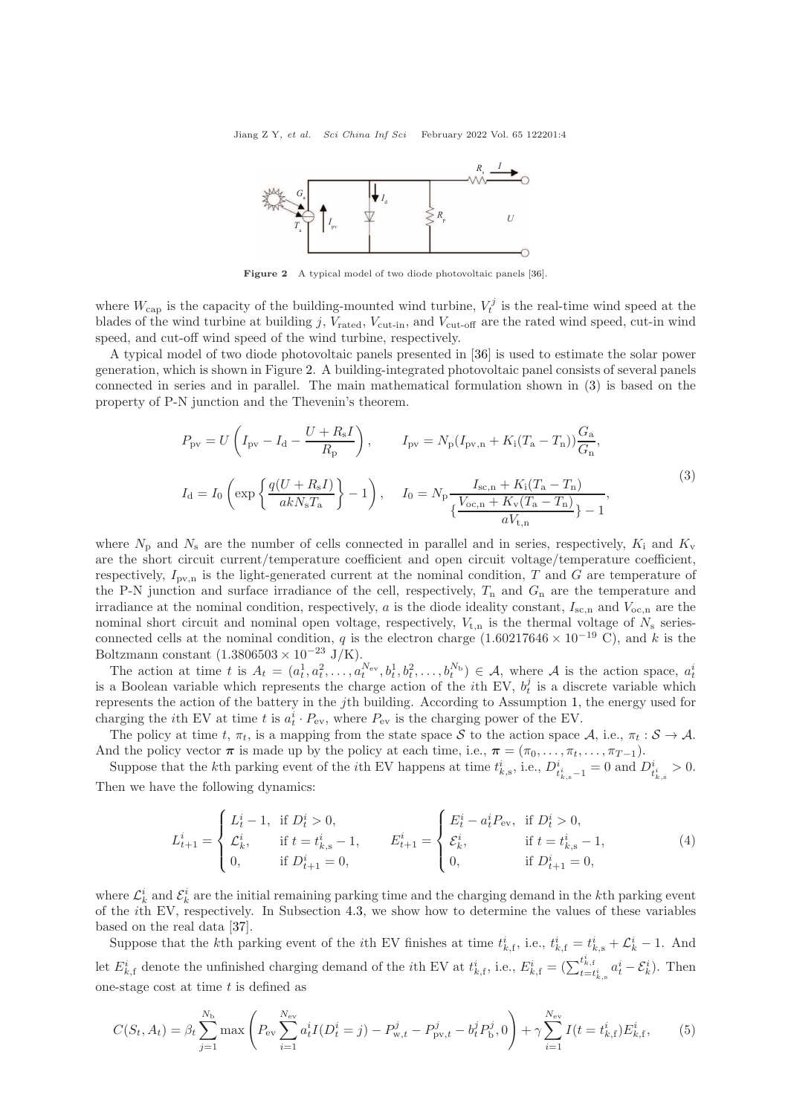<span id="page-3-0"></span>Jiang Z Y, et al. Sci China Inf Sci February 2022 Vol. 65 122201:4



Figure 2 A typical model of two diode photovoltaic panels [\[36\]](#page-15-9).

where  $W_{\text{cap}}$  is the capacity of the building-mounted wind turbine,  $V_t^j$  is the real-time wind speed at the blades of the wind turbine at building j,  $V_{\text{rated}}, V_{\text{cut-in}}$ , and  $V_{\text{cut-off}}$  are the rated wind speed, cut-in wind speed, and cut-off wind speed of the wind turbine, respectively.

A typical model of two diode photovoltaic panels presented in [\[36\]](#page-15-9) is used to estimate the solar power generation, which is shown in Figure [2.](#page-3-0) A building-integrated photovoltaic panel consists of several panels connected in series and in parallel. The main mathematical formulation shown in [\(3\)](#page-3-1) is based on the property of P-N junction and the Thevenin's theorem.

<span id="page-3-1"></span>
$$
P_{\rm pv} = U\left(I_{\rm pv} - I_{\rm d} - \frac{U + R_{\rm s}I}{R_{\rm p}}\right), \qquad I_{\rm pv} = N_{\rm p}(I_{\rm pv,n} + K_{\rm i}(T_{\rm a} - T_{\rm n}))\frac{G_{\rm a}}{G_{\rm n}},
$$
  

$$
I_{\rm d} = I_0\left(\exp\left\{\frac{q(U + R_{\rm s}I)}{akN_{\rm s}T_{\rm a}}\right\} - 1\right), \qquad I_0 = N_{\rm p}\frac{I_{\rm sc,n} + K_{\rm i}(T_{\rm a} - T_{\rm n})}{\left\{\frac{V_{\rm oc,n} + K_{\rm v}(T_{\rm a} - T_{\rm n})}{aV_{\rm t,n}}\right\} - 1},
$$

$$
(3)
$$

where  $N_{\rm p}$  and  $N_{\rm s}$  are the number of cells connected in parallel and in series, respectively,  $K_{\rm i}$  and  $K_{\rm v}$ are the short circuit current/temperature coefficient and open circuit voltage/temperature coefficient, respectively,  $I_{\text{pv},n}$  is the light-generated current at the nominal condition, T and G are temperature of the P-N junction and surface irradiance of the cell, respectively,  $T_n$  and  $G_n$  are the temperature and irradiance at the nominal condition, respectively,  $a$  is the diode ideality constant,  $I_{\rm sc,n}$  and  $V_{\rm oc,n}$  are the nominal short circuit and nominal open voltage, respectively,  $V_{t,n}$  is the thermal voltage of  $N_s$  seriesconnected cells at the nominal condition, q is the electron charge  $(1.60217646 \times 10^{-19} \text{ C})$ , and k is the Boltzmann constant  $(1.3806503 \times 10^{-23} \text{ J/K}).$ 

The action at time t is  $A_t = (a_t^1, a_t^2, \ldots, a_t^{N_{\text{ev}}}, b_t^1, b_t^2, \ldots, b_t^{N_{\text{b}}}) \in \mathcal{A}$ , where  $\mathcal{A}$  is the action space,  $a_t^i$ is a Boolean variable which represents the charge action of the *i*th EV,  $b_t^j$  is a discrete variable which represents the action of the battery in the jth building. According to Assumption [1,](#page-2-1) the energy used for charging the *i*th EV at time t is  $a_t^i \cdot P_{ev}$ , where  $P_{ev}$  is the charging power of the EV.

The policy at time t,  $\pi_t$ , is a mapping from the state space S to the action space A, i.e.,  $\pi_t : \mathcal{S} \to \mathcal{A}$ . And the policy vector  $\pi$  is made up by the policy at each time, i.e.,  $\pi = (\pi_0, \ldots, \pi_t, \ldots, \pi_{T-1})$ .

Suppose that the k<sup>th</sup> parking event of the *i*<sup>th</sup> EV happens at time  $t_{k,s}^i$ , i.e.,  $D_{t_{k,s}^i-1}^i = 0$  and  $D_{t_{k,s}^i}^i > 0$ . Then we have the following dynamics:

$$
L_{t+1}^{i} = \begin{cases} L_{t}^{i} - 1, & \text{if } D_{t}^{i} > 0, \\ \mathcal{L}_{k}^{i}, & \text{if } t = t_{k,s}^{i} - 1, \\ 0, & \text{if } D_{t+1}^{i} = 0, \end{cases} \qquad E_{t+1}^{i} = \begin{cases} E_{t}^{i} - a_{t}^{i} P_{\text{ev}}, & \text{if } D_{t}^{i} > 0, \\ \mathcal{E}_{k}^{i}, & \text{if } t = t_{k,s}^{i} - 1, \\ 0, & \text{if } D_{t+1}^{i} = 0, \end{cases}
$$
(4)

where  $\mathcal{L}_k^i$  and  $\mathcal{E}_k^i$  are the initial remaining parking time and the charging demand in the kth parking event of the ith EV, respectively. In Subsection [4.3,](#page-10-0) we show how to determine the values of these variables based on the real data [\[37\]](#page-15-10).

Suppose that the kth parking event of the *i*th EV finishes at time  $t_{k,f}^i$ , i.e.,  $t_{k,f}^i = t_{k,s}^i + \mathcal{L}_k^i - 1$ . And let  $E_{k,\text{f}}^i$  denote the unfinished charging demand of the *i*<sup>th</sup> EV at  $t_{k,\text{f}}^i$ , i.e.,  $E_{k,\text{f}}^i = \left(\sum_{t=t_{k,\text{s}}^i}^{t_{k,\text{f}}^i} a_t^i - \mathcal{E}_k^i\right)$ . Then one-stage cost at time  $t$  is defined as

$$
C(S_t, A_t) = \beta_t \sum_{j=1}^{N_{\rm b}} \max \left( P_{\rm ev} \sum_{i=1}^{N_{\rm ev}} a_t^i I(D_t^i = j) - P_{\rm w,t}^j - P_{\rm pv,t}^j - b_t^j P_{\rm b}^j, 0 \right) + \gamma \sum_{i=1}^{N_{\rm ev}} I(t = t_{k,\rm f}^i) E_{k,\rm f}^i, \tag{5}
$$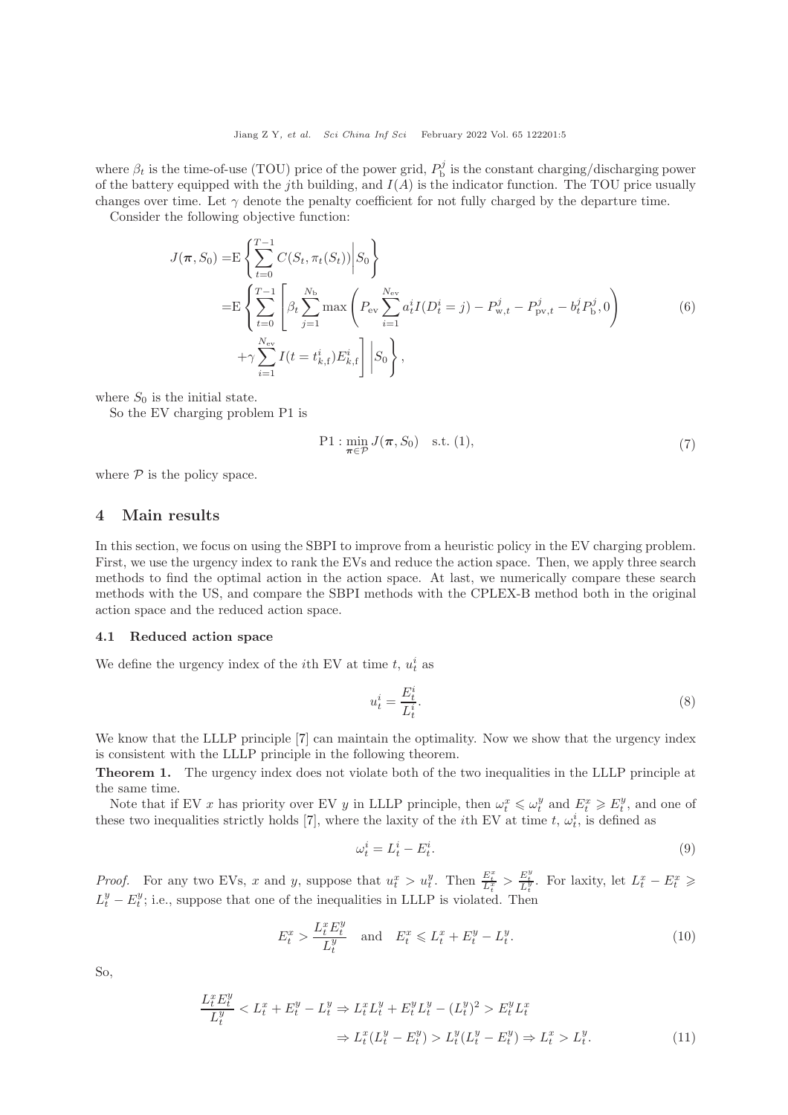where  $\beta_t$  is the time-of-use (TOU) price of the power grid,  $P_b^j$  is the constant charging/discharging power of the battery equipped with the jth building, and  $I(A)$  is the indicator function. The TOU price usually changes over time. Let  $\gamma$  denote the penalty coefficient for not fully charged by the departure time.

Consider the following objective function:

$$
J(\pi, S_0) = \mathbb{E} \left\{ \sum_{t=0}^{T-1} C(S_t, \pi_t(S_t)) \middle| S_0 \right\}
$$
  
=  $\mathbb{E} \left\{ \sum_{t=0}^{T-1} \left[ \beta_t \sum_{j=1}^{N_{\rm b}} \max \left( P_{\rm ev} \sum_{i=1}^{N_{\rm ev}} a_t^i I(D_t^i = j) - P_{\rm w,t}^j - P_{\rm pv,t}^j - b_t^j P_{\rm b}^j, 0 \right) \right\}$   
+  $\gamma \sum_{i=1}^{N_{\rm ev}} I(t = t_{k, \rm f}^i) E_{k, \rm f}^i \right\} \left| S_0 \right\},$  (6)

where  $S_0$  is the initial state.

So the EV charging problem P1 is

$$
\text{P1}: \min_{\pi \in \mathcal{P}} J(\pi, S_0) \quad \text{s.t. (1),} \tag{7}
$$

where  $P$  is the policy space.

## 4 Main results

In this section, we focus on using the SBPI to improve from a heuristic policy in the EV charging problem. First, we use the urgency index to rank the EVs and reduce the action space. Then, we apply three search methods to find the optimal action in the action space. At last, we numerically compare these search methods with the US, and compare the SBPI methods with the CPLEX-B method both in the original action space and the reduced action space.

#### <span id="page-4-0"></span>4.1 Reduced action space

We define the urgency index of the *i*<sup>th</sup> EV at time *t*,  $u_t^i$  as

$$
u_t^i = \frac{E_t^i}{L_t^i}.\tag{8}
$$

We know that the LLLP principle [\[7\]](#page-14-6) can maintain the optimality. Now we show that the urgency index is consistent with the LLLP principle in the following theorem.

Theorem 1. The urgency index does not violate both of the two inequalities in the LLLP principle at the same time.

Note that if EV x has priority over EV y in LLLP principle, then  $\omega_t^x \leq \omega_t^y$  and  $E_t^x \geq E_t^y$ , and one of these two inequalities strictly holds [\[7\]](#page-14-6), where the laxity of the *i*th EV at time  $t, \omega_t^i$ , is defined as

$$
\omega_t^i = L_t^i - E_t^i. \tag{9}
$$

*Proof.* For any two EVs, x and y, suppose that  $u_t^x > u_t^y$ . Then  $\frac{E_t^x}{L_t^x} > \frac{E_t^y}{L_t^y}$ . For laxity, let  $L_t^x - E_t^x \geq$  $L_t^y - E_t^y$ ; i.e., suppose that one of the inequalities in LLLP is violated. Then

$$
E_t^x > \frac{L_t^x E_t^y}{L_t^y} \quad \text{and} \quad E_t^x \leqslant L_t^x + E_t^y - L_t^y. \tag{10}
$$

So,

$$
\frac{L_t^x E_t^y}{L_t^y} < L_t^x + E_t^y - L_t^y \Rightarrow L_t^x L_t^y + E_t^y L_t^y - (L_t^y)^2 > E_t^y L_t^x
$$
\n
$$
\Rightarrow L_t^x (L_t^y - E_t^y) > L_t^y (L_t^y - E_t^y) \Rightarrow L_t^x > L_t^y. \tag{11}
$$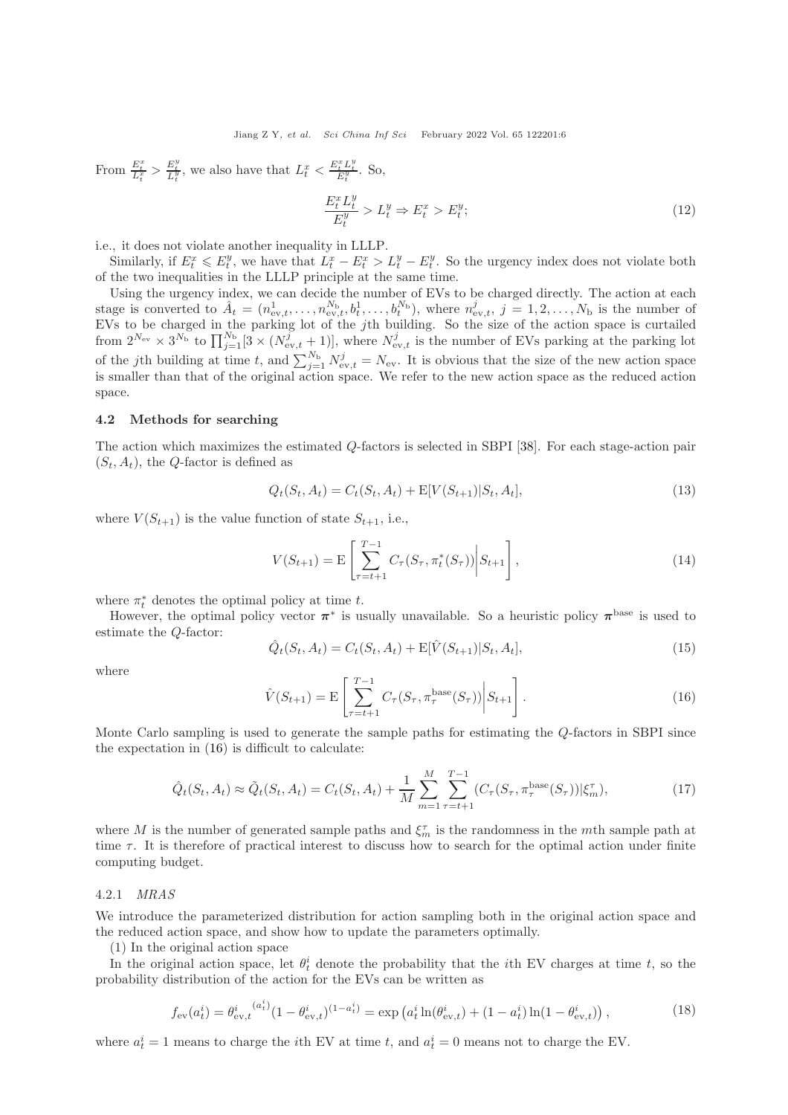From  $\frac{E_t^x}{L_t^x} > \frac{E_t^y}{L_t^y}$ , we also have that  $L_t^x < \frac{E_t^x L_t^y}{E_t^y}$ . So,

$$
\frac{E_t^x L_t^y}{E_t^y} > L_t^y \Rightarrow E_t^x > E_t^y; \tag{12}
$$

i.e., it does not violate another inequality in LLLP.

Similarly, if  $E_t^x \leq E_t^y$ , we have that  $L_t^x - E_t^x > L_t^y - E_t^y$ . So the urgency index does not violate both of the two inequalities in the LLLP principle at the same time.

Using the urgency index, we can decide the number of EVs to be charged directly. The action at each stage is converted to  $\hat{A}_t = (n_{\text{ev},t}^1, \ldots, n_{\text{ev},t}^{N_{\text{b}}}, b_t^1, \ldots, b_t^{N_{\text{b}}})$ , where  $n_{\text{ev},t}^j, j = 1, 2, \ldots, N_{\text{b}}$  is the number of EVs to be charged in the parking lot of the jth building. So the size of the action space is curtailed from  $2^{N_{\rm ev}} \times 3^{N_{\rm b}}$  to  $\prod_{j=1}^{N_{\rm b}}[3 \times (N_{\rm ev,t}^j + 1)]$ , where  $N_{\rm ev,t}^j$  is the number of EVs parking at the parking lot of the jth building at time t, and  $\sum_{j=1}^{N_{\rm b}} N_{\rm ev,t}^j = N_{\rm ev}$ . It is obvious that the size of the new action space is smaller than that of the original action space. We refer to the new action space as the reduced action space.

#### <span id="page-5-0"></span>4.2 Methods for searching

The action which maximizes the estimated Q-factors is selected in SBPI [\[38\]](#page-15-11). For each stage-action pair  $(S_t, A_t)$ , the Q-factor is defined as

$$
Q_t(S_t, A_t) = C_t(S_t, A_t) + \mathbb{E}[V(S_{t+1})|S_t, A_t],
$$
\n(13)

where  $V(S_{t+1})$  is the value function of state  $S_{t+1}$ , i.e.,

$$
V(S_{t+1}) = \mathcal{E}\left[\sum_{\tau=t+1}^{T-1} C_{\tau}(S_{\tau}, \pi_t^*(S_{\tau})) \middle| S_{t+1}\right],
$$
\n(14)

where  $\pi_t^*$  denotes the optimal policy at time t.

However, the optimal policy vector  $\pi^*$  is usually unavailable. So a heuristic policy  $\pi^{\text{base}}$  is used to estimate the Q-factor:

$$
\hat{Q}_t(S_t, A_t) = C_t(S_t, A_t) + \mathbb{E}[\hat{V}(S_{t+1})|S_t, A_t],
$$
\n(15)

where

<span id="page-5-1"></span>
$$
\hat{V}(S_{t+1}) = \mathcal{E}\left[\sum_{\tau=t+1}^{T-1} C_{\tau}(S_{\tau}, \pi_{\tau}^{\text{base}}(S_{\tau})) \middle| S_{t+1}\right].
$$
\n(16)

Monte Carlo sampling is used to generate the sample paths for estimating the Q-factors in SBPI since the expectation in [\(16\)](#page-5-1) is difficult to calculate:

$$
\hat{Q}_t(S_t, A_t) \approx \tilde{Q}_t(S_t, A_t) = C_t(S_t, A_t) + \frac{1}{M} \sum_{m=1}^M \sum_{\tau=t+1}^{T-1} (C_\tau(S_\tau, \pi_\tau^{\text{base}}(S_\tau)) | \xi_m^{\tau}), \tag{17}
$$

where M is the number of generated sample paths and  $\xi_m^{\tau}$  is the randomness in the mth sample path at time  $\tau$ . It is therefore of practical interest to discuss how to search for the optimal action under finite computing budget.

#### <span id="page-5-2"></span>4.2.1 MRAS

We introduce the parameterized distribution for action sampling both in the original action space and the reduced action space, and show how to update the parameters optimally.

(1) In the original action space

In the original action space, let  $\theta_t^i$  denote the probability that the *i*th EV charges at time t, so the probability distribution of the action for the EVs can be written as

$$
f_{\rm ev}(a_t^i) = \theta_{\rm ev,t}^i \frac{(a_t^i)}{(1 - \theta_{\rm ev,t}^i)^{(1 - a_t^i)}} = \exp\left(a_t^i \ln(\theta_{\rm ev,t}^i) + (1 - a_t^i) \ln(1 - \theta_{\rm ev,t}^i)\right),\tag{18}
$$

where  $a_t^i = 1$  means to charge the *i*th EV at time t, and  $a_t^i = 0$  means not to charge the EV.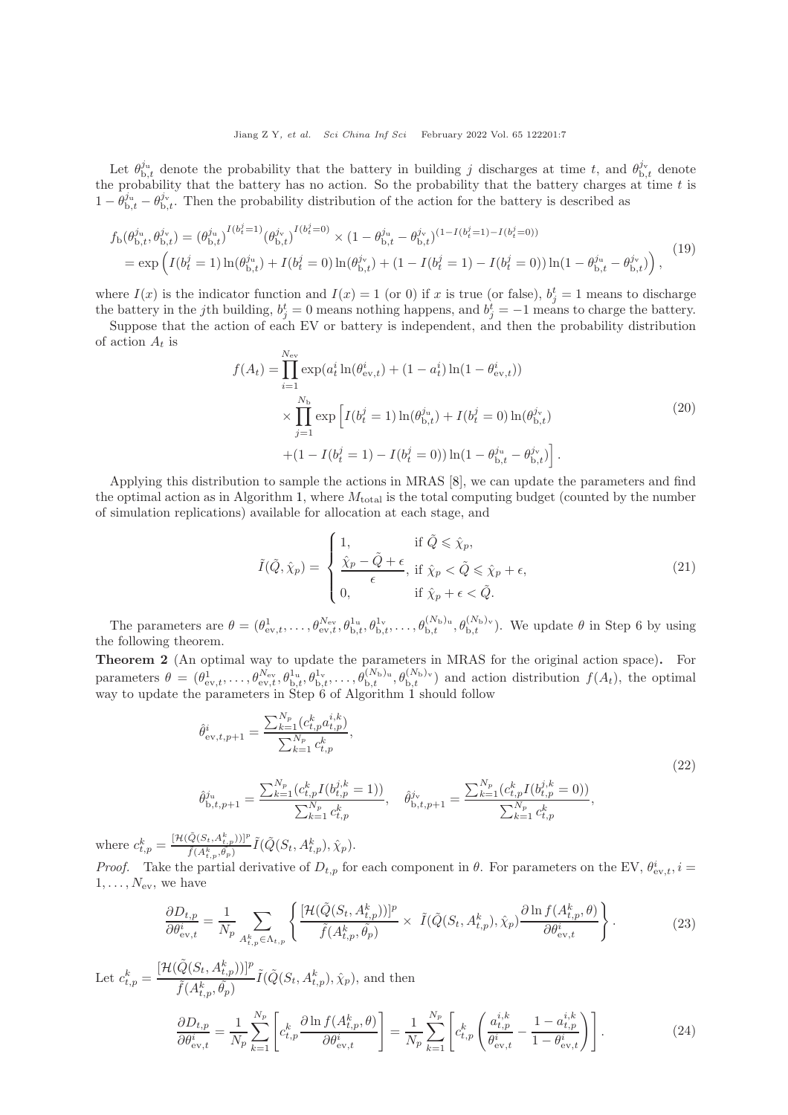Let  $\theta_{b,t}^{j_u}$  denote the probability that the battery in building j discharges at time t, and  $\theta_{b,t}^{j_v}$  denote the probability that the battery has no action. So the probability that the battery charges at time  $t$  is  $1 - \theta_{b,t}^{j_u} - \theta_{b,t}^{j_v}$ . Then the probability distribution of the action for the battery is described as

$$
f_{\rm b}(\theta_{\rm b,t}^{j_{\rm u}},\theta_{\rm b,t}^{j_{\rm v}}) = (\theta_{\rm b,t}^{j_{\rm u}})^{I(b_t^j=1)} (\theta_{\rm b,t}^{j_{\rm v}})^{I(b_t^j=0)} \times (1 - \theta_{\rm b,t}^{j_{\rm u}} - \theta_{\rm b,t}^{j_{\rm v}})^{(1 - I(b_t^j=1) - I(b_t^j=0))}
$$
  
= 
$$
\exp\left(I(b_t^j=1)\ln(\theta_{\rm b,t}^{j_{\rm u}}) + I(b_t^j=0)\ln(\theta_{\rm b,t}^{j_{\rm v}}) + (1 - I(b_t^j=1) - I(b_t^j=0))\ln(1 - \theta_{\rm b,t}^{j_{\rm u}} - \theta_{\rm b,t}^{j_{\rm v}})\right),
$$
(19)

where  $I(x)$  is the indicator function and  $I(x) = 1$  (or 0) if x is true (or false),  $b_j^t = 1$  means to discharge the battery in the jth building,  $b_j^t = 0$  means nothing happens, and  $b_j^t = -1$  means to charge the battery.

Suppose that the action of each EV or battery is independent, and then the probability distribution of action  $A_t$  is

$$
f(A_t) = \prod_{i=1}^{N_{\rm ev}} \exp(a_t^i \ln(\theta_{\rm ev,t}^i) + (1 - a_t^i) \ln(1 - \theta_{\rm ev,t}^i))
$$
  
 
$$
\times \prod_{j=1}^{N_{\rm b}} \exp\left[I(b_t^j = 1) \ln(\theta_{\rm b,t}^{j_{\rm u}}) + I(b_t^j = 0) \ln(\theta_{\rm b,t}^{j_{\rm v}})\right]
$$
  
 
$$
+ (1 - I(b_t^j = 1) - I(b_t^j = 0)) \ln(1 - \theta_{\rm b,t}^{j_{\rm u}} - \theta_{\rm b,t}^{j_{\rm v}})]
$$
 (20)

Applying this distribution to sample the actions in MRAS [\[8\]](#page-14-7), we can update the parameters and find the optimal action as in Algorithm [1,](#page-7-0) where  $M_{total}$  is the total computing budget (counted by the number of simulation replications) available for allocation at each stage, and

$$
\tilde{I}(\tilde{Q}, \hat{\chi}_p) = \begin{cases}\n1, & \text{if } \tilde{Q} \leq \hat{\chi}_p, \\
\frac{\hat{\chi}_p - \tilde{Q} + \epsilon}{\epsilon}, & \text{if } \hat{\chi}_p < \tilde{Q} \leq \hat{\chi}_p + \epsilon, \\
0, & \text{if } \hat{\chi}_p + \epsilon < \tilde{Q}.\n\end{cases}
$$
\n(21)

The parameters are  $\theta = (\theta_{ev,t}^1, \ldots, \theta_{ev,t}^{N_{ev}}, \theta_{b,t}^{1_u}, \theta_{b,t}^{1_v}, \ldots, \theta_{b,t}^{(N_b)_u}, \theta_{b,t}^{(N_b)_v})$ . We update  $\theta$  in Step 6 by using the following theorem.

Theorem 2 (An optimal way to update the parameters in MRAS for the original action space). For parameters  $\theta = (\theta_{ev,t}^1, \ldots, \theta_{ev,t}^{N_{ev}}, \theta_{b,t}^{1_u}, \theta_{b,t}^{1_v}, \ldots, \theta_{b,t}^{(N_b)_{u}}, \theta_{b,t}^{(N_b)_{v}})$  and action distribution  $f(A_t)$ , the optimal way to update the parameters in Step 6 of Algorithm [1](#page-7-0) should follow

<span id="page-6-0"></span>
$$
\hat{\theta}_{ev,t,p+1}^{i} = \frac{\sum_{k=1}^{N_p} (c_{t,p}^{k} a_{t,p}^{i,k})}{\sum_{k=1}^{N_p} c_{t,p}^{k}},
$$
\n
$$
\hat{\theta}_{b,t,p+1}^{j_u} = \frac{\sum_{k=1}^{N_p} (c_{t,p}^{k} I(b_{t,p}^{j,k} = 1))}{\sum_{k=1}^{N_p} c_{t,p}^{k}},
$$
\n
$$
\hat{\theta}_{b,t,p+1}^{j_v} = \frac{\sum_{k=1}^{N_p} (c_{t,p}^{k} I(b_{t,p}^{j,k} = 0))}{\sum_{k=1}^{N_p} c_{t,p}^{k}},
$$
\n(22)

where  $c_{t,p}^k = \frac{\left[\mathcal{H}(\tilde{Q}(S_t, A_{t,p}^k))\right]^p}{\tilde{f}(A^k, \tilde{\theta}_k)}$  $\frac{[Q(S_t,A_{t,p}^k))]^P}{\tilde{f}(A_{t,p}^k,\theta_p)}\tilde{I}(\tilde{Q}(S_t,A_{t,p}^k),\hat{\chi}_p).$ 

*Proof.* Take the partial derivative of  $D_{t,p}$  for each component in  $\theta$ . For parameters on the EV,  $\theta_{ev,t}^i$ ,  $i =$  $1, \ldots, N_{\rm ev}$ , we have

$$
\frac{\partial D_{t,p}}{\partial \theta_{\text{ev},t}^i} = \frac{1}{N_p} \sum_{A_{t,p}^k \in \Lambda_{t,p}} \left\{ \frac{[\mathcal{H}(\tilde{Q}(S_t, A_{t,p}^k))]^p}{\tilde{f}(A_{t,p}^k, \tilde{\theta}_p)} \times \tilde{I}(\tilde{Q}(S_t, A_{t,p}^k), \hat{\chi}_p) \frac{\partial \ln f(A_{t,p}^k, \theta)}{\partial \theta_{\text{ev},t}^i} \right\}.
$$
(23)

Let 
$$
c_{t,p}^k = \frac{\left[\mathcal{H}(\tilde{Q}(S_t, A_{t,p}^k))\right]^p}{\tilde{f}(A_{t,p}^k, \tilde{\theta}_p)} \tilde{I}(\tilde{Q}(S_t, A_{t,p}^k), \hat{\chi}_p)
$$
, and then  

$$
\frac{\partial D_{t,p}}{\partial \theta_{\text{ev},t}^i} = \frac{1}{N_p} \sum_{k=1}^{N_p} \left[c_{t,p}^k \frac{\partial \ln f(A_{t,p}^k, \theta)}{\partial \theta_{\text{ev},t}^i}\right] = \frac{1}{N_p} \sum_{k=1}^{N_p} \left[c_{t,p}^k \left(\frac{a_{t,p}^{i,k}}{\theta_{\text{ev},t}^i} - \frac{1 - a_{t,p}^{i,k}}{1 - \theta_{\text{ev},t}^i}\right)\right].
$$
(24)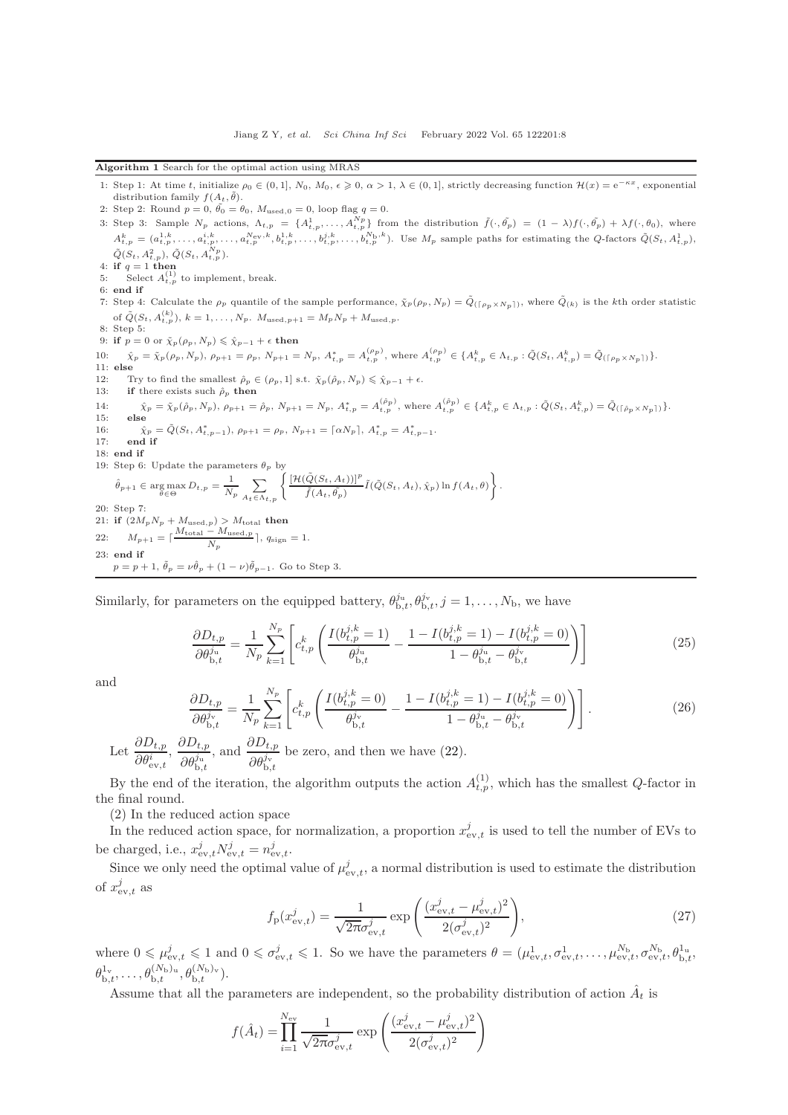<span id="page-7-0"></span>Algorithm 1 Search for the optimal action using MRAS

- 1: Step 1: At time t, initialize  $\rho_0 \in (0,1], N_0, M_0, \epsilon \geq 0, \alpha > 1, \lambda \in (0,1],$  strictly decreasing function  $\mathcal{H}(x) = e^{-\kappa x}$ , exponential distribution family  $f(A_t, \tilde{\theta})$ .
- 2: Step 2: Round  $p = 0$ ,  $\tilde{\theta}_0 = \theta_0$ ,  $M_{\text{used},0} = 0$ , loop flag  $q = 0$ .

3: Step 3: Sample  $N_p$  actions,  $\Lambda_{t,p} = \{A_{t,p}^1, \ldots, A_{t,p}^{N_p}\}$  from the distribution  $\tilde{f}(\cdot, \tilde{\theta_p}) = (1 - \lambda)f(\cdot, \tilde{\theta_p}) + \lambda f(\cdot, \theta_0)$ , where  $A_{t,p}^k = (a_{t,p}^{1,k}, \ldots, a_{t,p}^{i,k}, \ldots, a_{t,p}^{N_{\text{ev}},k}, b_{t,p}^{1,k}, \ldots, b_{t,p}^{j,k}, \ldots, b_{t,p}^{N_{\text{b}},k})$ . Use  $M_p$  sample paths for estimating the Q-factors  $\tilde{Q}(S_t, A_{t,p}^1)$ ,  $\tilde{Q}(S_t, A_{t,p}^2), \, \tilde{Q}(S_t, A_{t,p}^{N_p}).$ 4: if  $q=1$  then 5: Select  $A_{t,p}^{(1)}$  to implement, break.<br>6: **end if** 7: Step 4: Calculate the  $\rho_p$  quantile of the sample performance,  $\tilde{\chi}_p(\rho_p, N_p) = \tilde{Q}_{(\lceil \rho_p \times N_p \rceil)}$ , where  $\tilde{Q}_{(k)}$  is the kth order statistic of  $\tilde{Q}(S_t, A_{t,p}^{(k)}), k = 1, ..., N_p$ .  $M_{\text{used},p+1} = M_p N_p + M_{\text{used},p}$ . 8: Step 5: 9: if  $p = 0$  or  $\tilde{\chi}_p(\rho_p, N_p) \leq \hat{\chi}_{p-1} + \epsilon$  then 10:  $\hat{\chi}_p = \tilde{\chi}_p(\rho_p, N_p), \ \rho_{p+1} = \rho_p, \ N_{p+1} = N_p, \ A^*_{t,p} = A^{(\rho_p)}_{t,p}, \text{ where } A^{(\rho_p)}_{t,p} \in \{A^k_{t,p} \in \Lambda_{t,p} : \tilde{Q}(S_t, A^k_{t,p}) = \tilde{Q}_{(\lceil \rho_p \times N_p \rceil)}\}.$ 11: else 12: Try to find the smallest  $\hat{\rho}_p \in (\rho_p, 1]$  s.t.  $\tilde{\chi}_p(\hat{\rho}_p, N_p) \leq \hat{\chi}_{p-1} + \epsilon$ . 13: if there exists such  $\rho_p$  then 14:  $\hat{\chi}_p = \tilde{\chi}_p(\hat{\rho}_p, N_p), \ \rho_{p+1} = \hat{\rho}_p, \ N_{p+1} = N_p, \ A^*_{t,p} = A^{(\hat{\rho}_p)}_{t,p}, \text{ where } A^{(\hat{\rho}_p)}_{t,p} \in \{A^k_{t,p} \in \Lambda_{t,p} : \tilde{Q}(S_t, A^k_{t,p}) = \tilde{Q}_{(\lceil \hat{\rho}_p \times N_p \rceil)}\}.$ 16:  $\hat{\chi}_p = \tilde{Q}(S_t, A_{t,p-1}^*), \rho_{p+1} = \rho_p, N_{p+1} = \lceil \alpha N_p \rceil, A_{t,p}^* = A_{t,p-1}^*.$ 17: end if 18: end if 19: Step 6: Update the parameters  $\theta_p$  by  $\hat{\theta}_{p+1} \in \arg \max_{\theta \in \Theta} D_{t,p} = \frac{1}{N_1}$  $\frac{1}{N_p}$  $A_t \in \Lambda_{t,p}$  $\int [\mathcal{H}(\tilde{Q}(S_t, A_t))]^p$  $\frac{\tilde{Q}(S_t, A_t))]^p}{\tilde{f}(A_t, \tilde{\theta_p})}\tilde{I}(\tilde{Q}(S_t, A_t), \hat{\chi}_p)\ln f(A_t, \theta)\Bigg\}$ . 20: Step 7: 21: if  $(2M_pN_p + M_{used,p}) > M_{total}$  then 22:  $M_{p+1} = \lceil \frac{M_{\text{total}} - M_{\text{used},p}}{N} \rceil$  $\frac{N_p}{N_p}$ ,  $q_{\text{sign}} = 1$ . 23: end if  $p = p + 1, \ \tilde{\theta}_p = \nu \hat{\theta}_p + (1 - \nu) \tilde{\theta}_{p-1}$ . Go to Step 3.

Similarly, for parameters on the equipped battery,  $\theta_{b,t}^{j_u}, \theta_{b,t}^{j_v}, j = 1, \ldots, N_b$ , we have

$$
\frac{\partial D_{t,p}}{\partial \theta_{\mathrm{b},t}^{j_{\mathrm{u}}}} = \frac{1}{N_p} \sum_{k=1}^{N_p} \left[ c_{t,p}^k \left( \frac{I(b_{t,p}^{j,k} = 1)}{\theta_{\mathrm{b},t}^{j_{\mathrm{u}}}} - \frac{1 - I(b_{t,p}^{j,k} = 1) - I(b_{t,p}^{j,k} = 0)}{1 - \theta_{\mathrm{b},t}^{j_{\mathrm{u}}} - \theta_{\mathrm{b},t}^{j_{\mathrm{v}}}} \right) \right]
$$
(25)

and

$$
\frac{\partial D_{t,p}}{\partial \theta_{\mathrm{b},t}^{j_{\mathrm{v}}}} = \frac{1}{N_p} \sum_{k=1}^{N_p} \left[ c_{t,p}^k \left( \frac{I(b_{t,p}^{j,k} = 0)}{\theta_{\mathrm{b},t}^{j_{\mathrm{v}}}} - \frac{1 - I(b_{t,p}^{j,k} = 1) - I(b_{t,p}^{j,k} = 0)}{1 - \theta_{\mathrm{b},t}^{j_{\mathrm{u}}}} \right) \right].
$$
\n(26)

Let  $\frac{\partial D_{t,p}}{\partial \theta_{\text{ev},t}^i}$  $\frac{\partial D_{t,p}}{\partial q^i}$  $\partial \theta_{{\rm b},t}^{j_{\rm u}}$ , and  $\frac{\partial D_{t,p}}{\partial \rho_i^j}$  $\partial \theta_{{\rm b},t}^{j_{\rm v}}$ be zero, and then we have [\(22\)](#page-6-0).

By the end of the iteration, the algorithm outputs the action  $A_{t,p}^{(1)}$ , which has the smallest Q-factor in the final round.

(2) In the reduced action space

In the reduced action space, for normalization, a proportion  $x_{ev,t}^j$  is used to tell the number of EVs to be charged, i.e.,  $x_{\text{ev},t}^j N_{\text{ev},t}^j = n_{\text{ev},t}^j$ .

Since we only need the optimal value of  $\mu_{ev,t}^j$ , a normal distribution is used to estimate the distribution of  $x_{\text{ev},t}^j$  as

$$
f_{\rm p}(x_{\rm ev,t}^j) = \frac{1}{\sqrt{2\pi}\sigma_{\rm ev,t}^j} \exp\left(\frac{(x_{\rm ev,t}^j - \mu_{\rm ev,t}^j)^2}{2(\sigma_{\rm ev,t}^j)^2}\right),\tag{27}
$$

where  $0 \n\t\leq \mu_{ev,t}^j \leq 1$  and  $0 \leq \sigma_{ev,t}^j \leq 1$ . So we have the parameters  $\theta = (\mu_{ev,t}^1, \sigma_{ev,t}^1, \ldots, \mu_{ev,t}^{N_{\rm b}}, \sigma_{ev,t}^{N_{\rm b}}, \theta_{\rm b,t}^{1_{\rm u}},$  $\theta_{{\mathrm{b}},t}^{{\mathrm{1}}_{\mathrm{v}}},\ldots,\theta_{{\mathrm{b}},t}^{(N_{\mathrm{b}})_{\mathrm{u}}},\theta_{{\mathrm{b}},t}^{(N_{\mathrm{b}})_{\mathrm{v}}}).$ 

Assume that all the parameters are independent, so the probability distribution of action  $\hat{A}_t$  is

$$
f(\hat{A}_t) = \prod_{i=1}^{N_{\rm ev}} \frac{1}{\sqrt{2\pi}\sigma_{\rm ev,t}^j} \exp\left(\frac{(x_{\rm ev,t}^j - \mu_{\rm ev,t}^j)^2}{2(\sigma_{\rm ev,t}^j)^2}\right)
$$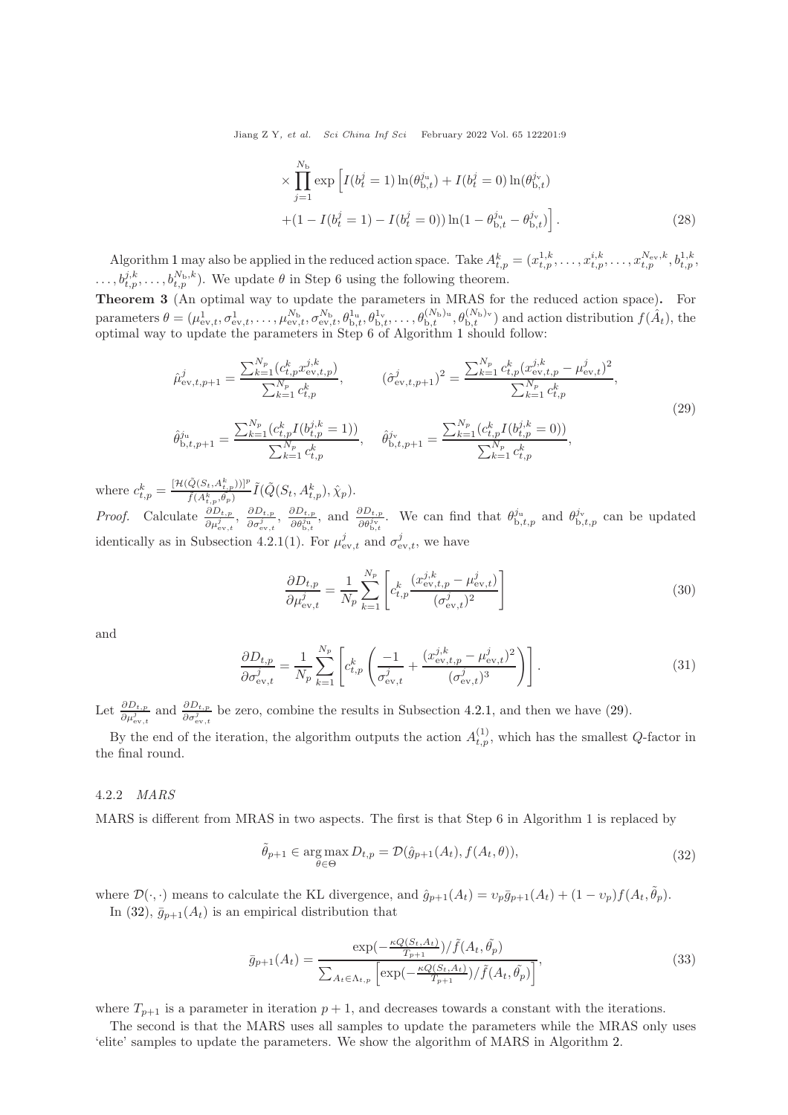Jiang Z Y, et al. Sci China Inf Sci February 2022 Vol. 65 122201:9

$$
\times \prod_{j=1}^{N_{\rm b}} \exp\left[I(b_t^j = 1)\ln(\theta_{\rm b,t}^{j_{\rm u}}) + I(b_t^j = 0)\ln(\theta_{\rm b,t}^{j_{\rm v}})\right] + (1 - I(b_t^j = 1) - I(b_t^j = 0))\ln(1 - \theta_{\rm b,t}^{j_{\rm u}} - \theta_{\rm b,t}^{j_{\rm v}})\right].
$$
\n(28)

Algorithm [1](#page-7-0) may also be applied in the reduced action space. Take  $A_{t,p}^{k} = (x_{t,p}^{1,k}, \ldots, x_{t,p}^{i,k}, \ldots, x_{t,p}^{N_{\text{ev}},k}, b_{t,p}^{1,k}, \ldots, b_{t,p}^{N_{\text{ev}},k})$  $\dots, b^{j,k}_{t,p}, \dots, b^{N_{\rm b},k}_{t,p}$ . We update  $\theta$  in Step 6 using the following theorem.

Theorem 3 (An optimal way to update the parameters in MRAS for the reduced action space). For parameters  $\theta = (\mu_{ev,t}^1, \sigma_{ev,t}^1, \ldots, \mu_{ev,t}^{N_b}, \sigma_{ev,t}^{N_b}, \theta_{b,t}^{1_u}, \theta_{b,t}^{1_v}, \ldots, \theta_{b,t}^{(N_b)_u}, \theta_{b,t}^{(N_b)_v})$  and action distribution  $f(\hat{A}_t)$ , the optimal way to update the parameters in Step 6 of Algorithm [1](#page-7-0) should follow:

<span id="page-8-0"></span>
$$
\hat{\mu}_{ev,t,p+1}^{j} = \frac{\sum_{k=1}^{N_{p}} (c_{t,p}^{k} x_{ev,t,p}^{j,k})}{\sum_{k=1}^{N_{p}} c_{t,p}^{k}}, \qquad (\hat{\sigma}_{ev,t,p+1}^{j})^{2} = \frac{\sum_{k=1}^{N_{p}} c_{t,p}^{k} (x_{ev,t,p}^{j,k} - \mu_{ev,t}^{j})^{2}}{\sum_{k=1}^{N_{p}} c_{t,p}^{k}},
$$
\n
$$
\hat{\theta}_{b,t,p+1}^{j_{u}} = \frac{\sum_{k=1}^{N_{p}} (c_{t,p}^{k} I(b_{t,p}^{j,k} = 1))}{\sum_{k=1}^{N_{p}} c_{t,p}^{k}}, \qquad \hat{\theta}_{b,t,p+1}^{j_{v}} = \frac{\sum_{k=1}^{N_{p}} (c_{t,p}^{k} I(b_{t,p}^{j,k} = 0))}{\sum_{k=1}^{N_{p}} c_{t,p}^{k}},
$$
\n(29)

where  $c_{t,p}^k = \frac{\left[\mathcal{H}(\tilde{Q}(S_t, A_{t,p}^k))\right]^p}{\tilde{f}(A^k - \tilde{\theta}_k)}$  $\frac{[Q(S_t,A_{t,p}^k))]^P}{\tilde{f}(A_{t,p}^k,\theta_p)}\tilde{I}(\tilde{Q}(S_t,A_{t,p}^k),\hat{\chi}_p).$ *Proof.* Calculate  $\frac{\partial D_{t,p}}{\partial \mu_{ev,t}^j}$ ,  $\frac{\partial D_{t,p}}{\partial \sigma_{ev,t}^j}$  $\frac{\partial D_{t,p}}{\partial \sigma_{\text{ev},t}^j}$ ,  $\frac{\partial D_{t,p}}{\partial \theta_{\text{b},t}^{j_{\text{u}}}}$ 

 $\frac{\partial D_{t,p}}{\partial \theta_{b,t}^{j_w}}$ , and  $\frac{\partial D_{t,p}}{\partial \theta_{b,t}^{j_v}}$ . We can find that  $\theta_{b,t,p}^{j_w}$  and  $\theta_{b,t,p}^{j_v}$  can be updated identically as in Subsection 4.2.1(1). For  $\mu_{ev,t}^j$  and  $\sigma_{ev,t}^j$ , we have

$$
\frac{\partial D_{t,p}}{\partial \mu_{\text{ev},t}^{j}} = \frac{1}{N_p} \sum_{k=1}^{N_p} \left[ c_{t,p}^k \frac{(x_{\text{ev},t,p}^{j,k} - \mu_{\text{ev},t}^{j})}{(\sigma_{\text{ev},t}^{j})^2} \right]
$$
(30)

and

$$
\frac{\partial D_{t,p}}{\partial \sigma_{\text{ev},t}^{j}} = \frac{1}{N_p} \sum_{k=1}^{N_p} \left[ c_{t,p}^k \left( \frac{-1}{\sigma_{\text{ev},t}^{j}} + \frac{(x_{\text{ev},t,p}^{j,k} - \mu_{\text{ev},t}^{j})^2}{(\sigma_{\text{ev},t}^{j})^3} \right) \right].
$$
\n(31)

Let  $\frac{\partial D_{t,p}}{\partial \rho_{\text{ev},t}^j}$  and  $\frac{\partial D_{t,p}}{\partial \sigma_{\text{ev},t}^j}$  be zero, combine the results in Subsection [4.2.1,](#page-5-2) and then we have [\(29\)](#page-8-0).

By the end of the iteration, the algorithm outputs the action  $A_{t,p}^{(1)}$ , which has the smallest  $Q$ -factor in the final round.

#### 4.2.2 MARS

MARS is different from MRAS in two aspects. The first is that Step 6 in Algorithm 1 is replaced by

<span id="page-8-1"></span>
$$
\tilde{\theta}_{p+1} \in \underset{\theta \in \Theta}{\arg \max} D_{t,p} = \mathcal{D}(\hat{g}_{p+1}(A_t), f(A_t, \theta)), \tag{32}
$$

where  $\mathcal{D}(\cdot,\cdot)$  means to calculate the KL divergence, and  $\hat{g}_{p+1}(A_t) = v_p \bar{g}_{p+1}(A_t) + (1 - v_p)f(A_t, \tilde{\theta}_p)$ . In [\(32\)](#page-8-1),  $\bar{g}_{p+1}(A_t)$  is an empirical distribution that

$$
\bar{g}_{p+1}(A_t) = \frac{\exp(-\frac{\kappa Q(S_t, A_t)}{T_{p+1}})/\tilde{f}(A_t, \tilde{\theta}_p)}{\sum_{A_t \in \Lambda_{t,p}} \left[\exp(-\frac{\kappa Q(S_t, A_t)}{T_{p+1}})/\tilde{f}(A_t, \tilde{\theta}_p)\right]},
$$
\n(33)

where  $T_{p+1}$  is a parameter in iteration  $p+1$ , and decreases towards a constant with the iterations.

The second is that the MARS uses all samples to update the parameters while the MRAS only uses 'elite' samples to update the parameters. We show the algorithm of MARS in Algorithm [2.](#page-9-0)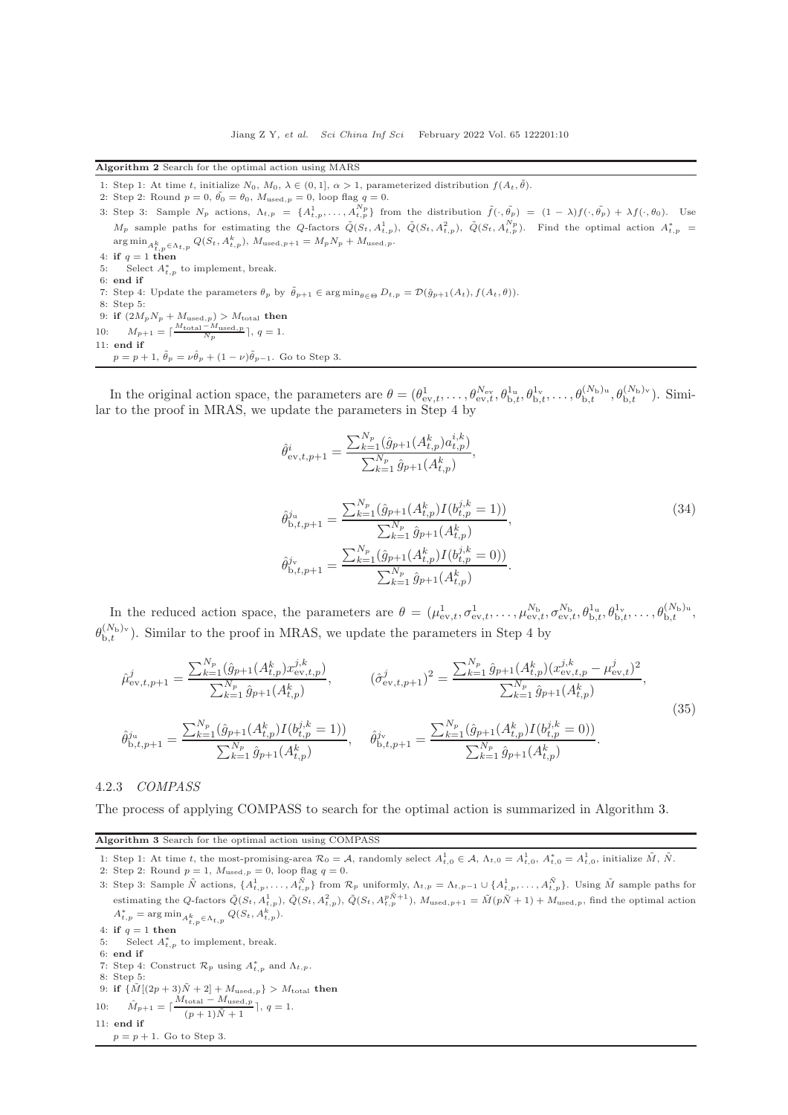<span id="page-9-0"></span>Algorithm 2 Search for the optimal action using MARS

- 1: Step 1: At time t, initialize  $N_0$ ,  $M_0$ ,  $\lambda \in (0, 1], \alpha > 1$ , parameterized distribution  $f(A_t, \tilde{\theta})$ .
- 2: Step 2: Round  $p = 0$ ,  $\tilde{\theta}_0 = \theta_0$ ,  $M_{\text{used},p} = 0$ , loop flag  $q = 0$ .
- 3: Step 3: Sample  $N_p$  actions,  $\Lambda_{t,p} = \{A_{t,p}^1, \ldots, A_{t,p}^{N_p}\}$  from the distribution  $\tilde{f}(\cdot, \tilde{\theta_p}) = (1 \lambda)f(\cdot, \tilde{\theta_p}) + \lambda f(\cdot, \theta_0)$ . Use  $M_p$  sample paths for estimating the Q-factors  $\tilde{Q}(S_t, A_{t,p}^1), \ \tilde{Q}(S_t, A_{t,p}^2), \ \tilde{Q}(S_t, A_{t,p}^N)$ . Find the optimal action  $A_{t,p}^*$  =  $\arg \min_{A_{t,p}^k \in \Lambda_{t,p}} Q(S_t, A_{t,p}^k), M_{\text{used},p+1} = M_p N_p + M_{\text{used},p}.$
- 4: if  $q = 1$  then
- 5: Select  $A_{t,p}^*$  to implement, break. 6: end if
- 7: Step 4: Update the parameters  $\theta_p$  by  $\tilde{\theta}_{p+1} \in \arg \min_{\theta \in \Theta} D_{t,p} = \mathcal{D}(\hat{g}_{p+1}(A_t), f(A_t, \theta)).$
- 8: Step 5:
- 9: if  $(2M_pN_p + M_{\text{used},p}) > M_{\text{total}}$  then
- 10:  $M_{p+1} = \lceil \frac{M_{\text{total}} M_{\text{used},p}}{N_p} \rceil, q = 1.$ 11: end if
- $p = p + 1$ ,  $\tilde{\theta}_p = \nu \hat{\theta}_p + (1 \nu) \tilde{\theta}_{p-1}$ . Go to Step 3.

In the original action space, the parameters are  $\theta = (\theta_{ev,t}^1, \ldots, \theta_{ev,t}^{N_{ev}}, \theta_{b,t}^{1_u}, \theta_{b,t}^{1_v}, \ldots, \theta_{b,t}^{(N_b)_u}, \theta_{b,t}^{(N_b)_v})$ . Similar to the proof in MRAS, we update the parameters in Step 4 by

$$
\hat{\theta}_{ev,t,p+1}^{i} = \frac{\sum_{k=1}^{N_p} (\hat{g}_{p+1}(A_{t,p}^k) a_{t,p}^{i,k})}{\sum_{k=1}^{N_p} \hat{g}_{p+1}(A_{t,p}^k)},
$$
\n
$$
\hat{\theta}_{b,t,p+1}^{j_u} = \frac{\sum_{k=1}^{N_p} (\hat{g}_{p+1}(A_{t,p}^k) I(b_{t,p}^{j,k} = 1))}{\sum_{k=1}^{N_p} \hat{g}_{p+1}(A_{t,p}^k)},
$$
\n
$$
\hat{\theta}_{b,t,p+1}^{j_v} = \frac{\sum_{k=1}^{N_p} (\hat{g}_{p+1}(A_{t,p}^k) I(b_{t,p}^{j,k} = 0))}{\sum_{k=1}^{N_p} \hat{g}_{p+1}(A_{t,p}^k)}.
$$
\n(34)

In the reduced action space, the parameters are  $\theta = (\mu_{ev,t}^1, \sigma_{ev,t}^1, \ldots, \mu_{ev,t}^{N_b}, \sigma_{ev,t}^{N_b}, \theta_{b,t}^{1_u}, \theta_{b,t}^{1_v}, \ldots, \theta_{b,t}^{(N_b)_u}, \theta_{b,t}^{N_b}, \ldots, \theta_{b,t}^{N_b})$  $\theta_{b,t}^{(N_b)_{v}}$ ). Similar to the proof in MRAS, we update the parameters in Step 4 by

$$
\hat{\mu}_{ev,t,p+1}^{j} = \frac{\sum_{k=1}^{N_{p}} (\hat{g}_{p+1}(A_{t,p}^{k}) x_{ev,t,p}^{j,k})}{\sum_{k=1}^{N_{p}} \hat{g}_{p+1}(A_{t,p}^{k})}, \qquad (\hat{\sigma}_{ev,t,p+1}^{j})^{2} = \frac{\sum_{k=1}^{N_{p}} \hat{g}_{p+1}(A_{t,p}^{k}) (x_{ev,t,p}^{j,k} - \mu_{ev,t}^{j})^{2}}{\sum_{k=1}^{N_{p}} \hat{g}_{p+1}(A_{t,p}^{k})},
$$
\n
$$
\hat{\theta}_{b,t,p+1}^{j_{u}} = \frac{\sum_{k=1}^{N_{p}} (\hat{g}_{p+1}(A_{t,p}^{k}) I(b_{t,p}^{j,k} = 1))}{\sum_{k=1}^{N_{p}} \hat{g}_{p+1}(A_{t,p}^{k})}, \qquad \hat{\theta}_{b,t,p+1}^{j_{v}} = \frac{\sum_{k=1}^{N_{p}} (\hat{g}_{p+1}(A_{t,p}^{k}) I(b_{t,p}^{j,k} = 0))}{\sum_{k=1}^{N_{p}} \hat{g}_{p+1}(A_{t,p}^{k})}.
$$
\n(35)

#### 4.2.3 COMPASS

<span id="page-9-1"></span>The process of applying COMPASS to search for the optimal action is summarized in Algorithm [3.](#page-9-1)

Algorithm 3 Search for the optimal action using COMPASS

1: Step 1: At time t, the most-promising-area  $\mathcal{R}_0 = \mathcal{A}$ , randomly select  $A_{t,0}^1 \in \mathcal{A}$ ,  $\Lambda_{t,0} = A_{t,0}^1$ ,  $A_{t,0}^* = A_{t,0}^1$ , initialize  $\tilde{M}$ ,  $\tilde{N}$ .

2: Step 2: Round $p=1,\,M_{\text{used},\,p}=0,$ loop flag $q=0.$ 

- 3: Step 3: Sample  $\tilde{N}$  actions,  $\{A_{t,p}^1, \ldots, A_{t,p}^{\tilde{N}}\}$  from  $\mathcal{R}_p$  uniformly,  $\Lambda_{t,p} = \Lambda_{t,p-1} \cup \{A_{t,p}^1, \ldots, A_{t,p}^{\tilde{N}}\}$ . Using  $\tilde{M}$  sample paths for estimating the Q-factors  $\tilde{Q}(S_t, A_{t,p}^1), \tilde{Q}(S_t, A_{t,p}^p), \tilde{Q}(S_t, A_{t,p}^{p\tilde{N}+1}), M_{used,p+1} = \tilde{M}(p\tilde{N}+1) + M_{used,p},$  find the optimal action  $A_{t,p}^{*} = \arg \min_{A_{t,p}^{k} \in \Lambda_{t,p}} Q(S_t, A_{t,p}^{k}).$
- 4: if  $q = 1$  then
- 5: Select  $A_{t,p}^*$  to implement, break.
- 6: end if
- 7: Step 4: Construct  $\mathcal{R}_p$  using  $A_{t,p}^*$  and  $\Lambda_{t,p}$ .
- 8: Step 5:
- 9: if  $\{ \tilde{M}[(2p + 3)\tilde{N} + 2] + M_{used,p} \} > M_{total}$  then  $M_{\text{total}} - M_{\text{used},p}$

10: 
$$
\hat{M}_{p+1} = \left[\frac{M_{\text{total}} - M_{\text{used},p}}{(p+1)\tilde{N} + 1}\right], q = 1.
$$

$$
11: \ \mathbf{end} \ if
$$

 $p = p + 1$ . Go to Step 3.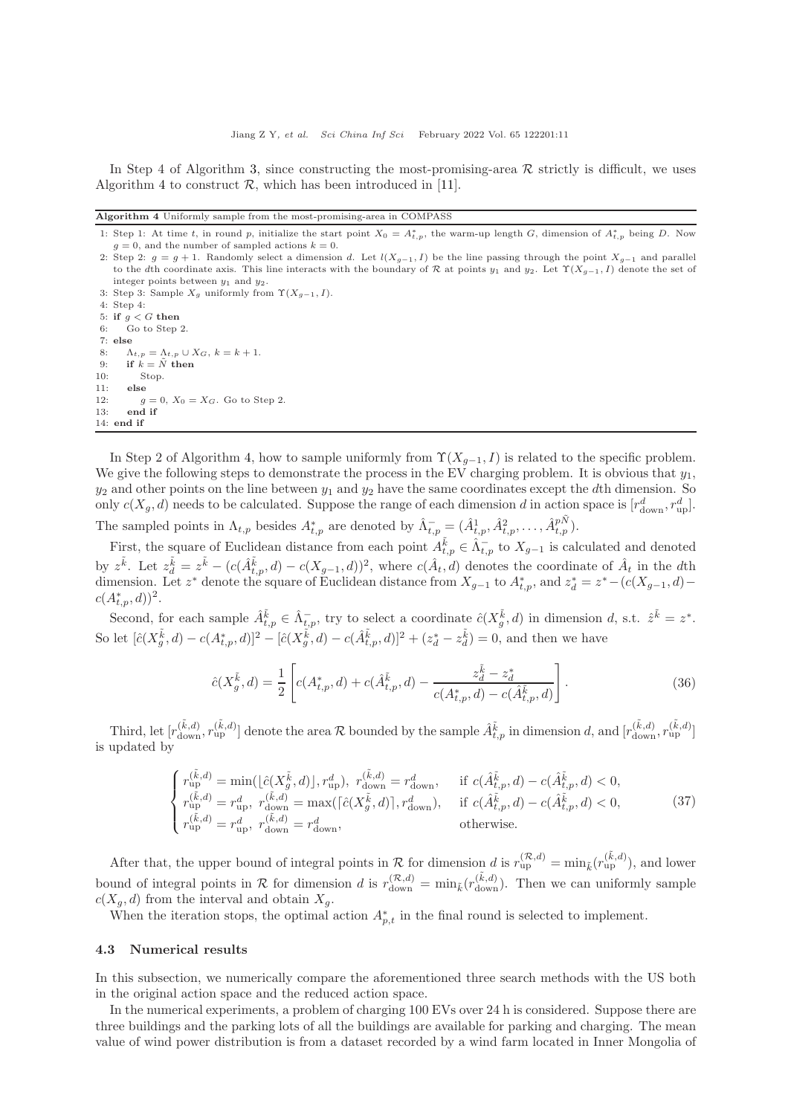In Step 4 of Algorithm [3,](#page-9-1) since constructing the most-promising-area  $\mathcal R$  strictly is difficult, we uses Algorithm [4](#page-10-1) to construct  $\mathcal{R}$ , which has been introduced in [\[11\]](#page-14-10).

<span id="page-10-1"></span>Algorithm 4 Uniformly sample from the most-promising-area in COMPASS

- 1: Step 1: At time t, in round p, initialize the start point  $X_0 = A_{t,p}^*$ , the warm-up length G, dimension of  $A_{t,p}^*$  being D. Now  $g = 0$ , and the number of sampled actions  $k = 0$ .
- 2: Step 2:  $g = g + 1$ . Randomly select a dimension d. Let  $l(X_{g-1}, I)$  be the line passing through the point  $X_{g-1}$  and parallel to the dth coordinate axis. This line interacts with the boundary of R at points y<sub>1</sub> and y<sub>2</sub>. Let  $\Upsilon(X_{g-1}, I)$  denote the set of integer points between  $y_1$  and  $y_2$ .
- 3: Step 3: Sample  $X_g$  uniformly from  $\Upsilon(X_{g-1}, I)$ . 4: Step 4:
- 5: if  $g < G$  then

6: Go to Step 2. 7: else 8:  $\Lambda_{t,p} = \Lambda_{t,p} \cup X_G, k = k+1.$ 9: if  $k = \tilde{N}$  then 10: Stop.  $11:$  else 12:  $g = 0, X_0 = X_G$ . Go to Step 2. 13: end if 14: end if

In Step 2 of Algorithm [4,](#page-10-1) how to sample uniformly from  $\Upsilon(X_{g-1}, I)$  is related to the specific problem. We give the following steps to demonstrate the process in the EV charging problem. It is obvious that  $y_1$ ,  $y_2$  and other points on the line between  $y_1$  and  $y_2$  have the same coordinates except the dth dimension. So only  $c(X_g, d)$  needs to be calculated. Suppose the range of each dimension d in action space is  $[r^d_{\text{down}}, r^d_{\text{up}}]$ . The sampled points in  $\Lambda_{t,p}$  besides  $A_{t,p}^*$  are denoted by  $\hat{\Lambda}_{t,p}^- = (\hat{A}_{t,p}^1, \hat{A}_{t,p}^2, \ldots, \hat{A}_{t,p}^{p,N}).$ 

First, the square of Euclidean distance from each point  $A_{t,p}^{\tilde{k}} \in \hat{\Lambda}_{t,p}^-$  to  $X_{g-1}$  is calculated and denoted by  $z^{\tilde{k}}$ . Let  $z_{d}^{\tilde{k}} = z^{\tilde{k}} - (c(\hat{A}_{t,p}^{\tilde{k}}, d) - c(X_{g-1}, d))^2$ , where  $c(\hat{A}_{t}, d)$  denotes the coordinate of  $\hat{A}_{t}$  in the dth dimension. Let  $z^*$  denote the square of Euclidean distance from  $X_{g-1}$  to  $A_{t,p}^*$ , and  $z_d^* = z^* - (c(X_{g-1}, d) - c(X_{g-1}, d))$  $c(A^*_{t,p}, d))^2$ .

Second, for each sample  $\hat{A}_{t,p}^{\tilde{k}} \in \hat{\Lambda}_{t,p}^-$ , try to select a coordinate  $\hat{c}(X_{g}^{\tilde{k}},d)$  in dimension d, s.t.  $\hat{z}^{\tilde{k}} = z^*$ . So let  $[\hat{c}(X_{g}^{\tilde{k}}, d) - c(X_{t,p}^{*}, d)]^{2} - [\hat{c}(X_{g}^{\tilde{k}}, d) - c(\hat{A}_{t,p}^{\tilde{k}}, d)]^{2} + (z_{d}^{*} - z_{d}^{\tilde{k}}) = 0$ , and then we have

$$
\hat{c}(X_g^{\tilde{k}}, d) = \frac{1}{2} \left[ c(A_{t,p}^*, d) + c(\hat{A}_{t,p}^{\tilde{k}}, d) - \frac{z_d^{\tilde{k}} - z_d^*}{c(A_{t,p}^*, d) - c(\hat{A}_{t,p}^{\tilde{k}}, d)} \right].
$$
\n(36)

Third, let  $[r_{down}^{(\tilde{k},d)}, r_{up}^{(\tilde{k},d)}]$  denote the area R bounded by the sample  $\hat{A}_{t,p}^{\tilde{k}}$  in dimension d, and  $[r_{down}^{(\tilde{k},d)}, r_{up}^{(\tilde{k},d)}]$ is updated by

$$
\begin{cases}\nr_{\text{up}}^{(\tilde{k},d)} = \min(\lfloor \hat{c}(X_g^{\tilde{k}},d) \rfloor, r_{\text{up}}^d), & r_{\text{down}}^{(\tilde{k},d)} = r_{\text{down}}^d, \quad \text{if } c(\hat{A}_{t,p}^{\tilde{k}},d) - c(\hat{A}_{t,p}^{\tilde{k}},d) < 0, \\
r_{\text{up}}^{(\tilde{k},d)} = r_{\text{up}}^d, & r_{\text{down}}^{(\tilde{k},d)} = \max(\lceil \hat{c}(X_g^{\tilde{k}},d) \rceil, r_{\text{down}}^d), & \text{if } c(\hat{A}_{t,p}^{\tilde{k}},d) - c(\hat{A}_{t,p}^{\tilde{k}},d) < 0, \\
r_{\text{up}}^{(\tilde{k},d)} = r_{\text{up}}^d, & r_{\text{down}}^{(\tilde{k},d)} = r_{\text{down}}^d, & \text{otherwise.} \n\end{cases} \tag{37}
$$

After that, the upper bound of integral points in  $\mathcal R$  for dimension d is  $r_{\rm up}^{(\mathcal R,d)} = \min_{\tilde{k}} (r_{\rm up}^{(\tilde{k},d)})$ , and lower bound of integral points in R for dimension d is  $r_{\text{down}}^{(\mathcal{R},d)} = \min_{\tilde{k}} (r_{\text{down}}^{(\tilde{k},d)})$ . Then we can uniformly sample  $c(X_g, d)$  from the interval and obtain  $X_g$ .

When the iteration stops, the optimal action  $A_{p,t}^*$  in the final round is selected to implement.

#### <span id="page-10-0"></span>4.3 Numerical results

In this subsection, we numerically compare the aforementioned three search methods with the US both in the original action space and the reduced action space.

In the numerical experiments, a problem of charging 100 EVs over 24 h is considered. Suppose there are three buildings and the parking lots of all the buildings are available for parking and charging. The mean value of wind power distribution is from a dataset recorded by a wind farm located in Inner Mongolia of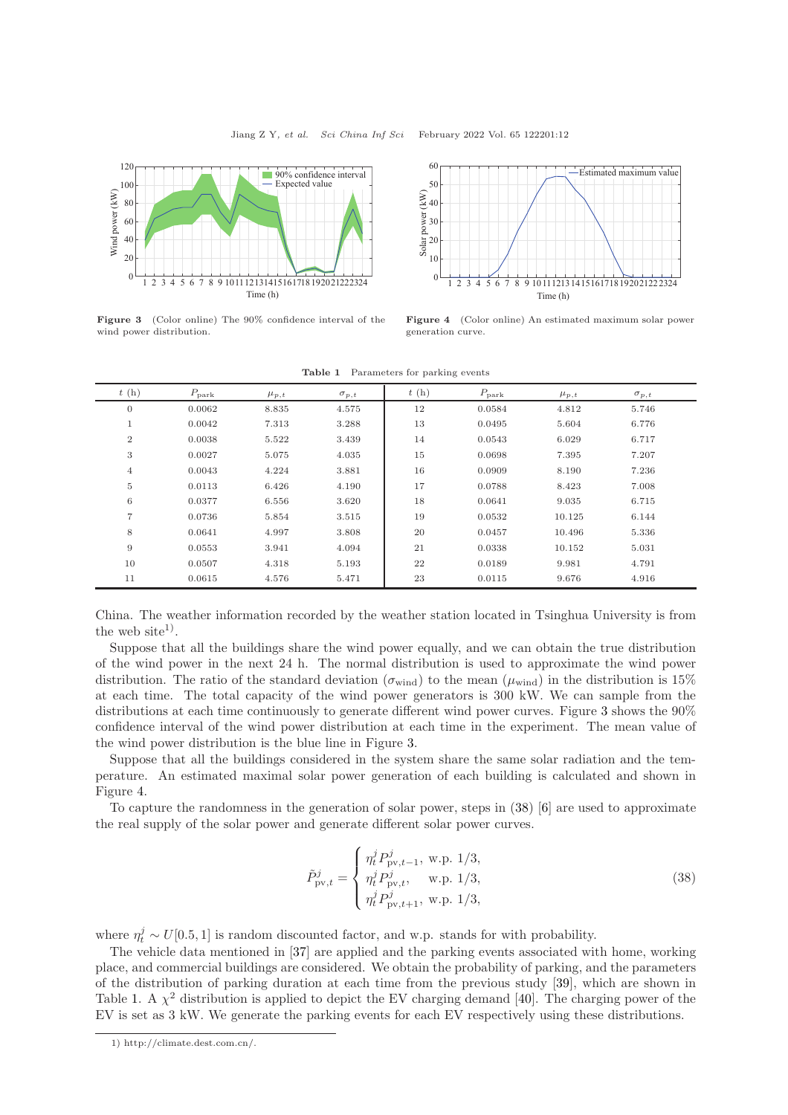<span id="page-11-0"></span>

<span id="page-11-2"></span>Figure 3 (Color online) The 90% confidence interval of the wind power distribution.



Figure 4 (Color online) An estimated maximum solar power generation curve.

| t(h)             | $P_{\text{park}}$ | $\mu_{p,t}$ | $\sigma_{p,t}$ | t(h) | $P_{\text{park}}$ | $\mu_{p,t}$ | $\sigma_{p,t}$ |
|------------------|-------------------|-------------|----------------|------|-------------------|-------------|----------------|
| $\boldsymbol{0}$ | 0.0062            | 8.835       | 4.575          | 12   | 0.0584            | 4.812       | 5.746          |
| $\mathbf{1}$     | 0.0042            | 7.313       | 3.288          | 13   | 0.0495            | 5.604       | 6.776          |
| $\sqrt{2}$       | 0.0038            | 5.522       | 3.439          | 14   | 0.0543            | 6.029       | 6.717          |
| 3                | 0.0027            | 5.075       | 4.035          | 15   | 0.0698            | 7.395       | 7.207          |
| $\overline{4}$   | 0.0043            | 4.224       | 3.881          | 16   | 0.0909            | 8.190       | 7.236          |
| $\overline{5}$   | 0.0113            | 6.426       | 4.190          | 17   | 0.0788            | 8.423       | 7.008          |
| 6                | 0.0377            | 6.556       | 3.620          | 18   | 0.0641            | 9.035       | 6.715          |
| $\overline{7}$   | 0.0736            | 5.854       | 3.515          | 19   | 0.0532            | 10.125      | 6.144          |
| 8                | 0.0641            | 4.997       | 3.808          | 20   | 0.0457            | 10.496      | 5.336          |
| 9                | 0.0553            | 3.941       | 4.094          | 21   | 0.0338            | 10.152      | 5.031          |
| 10               | 0.0507            | 4.318       | 5.193          | 22   | 0.0189            | 9.981       | 4.791          |
| 11               | 0.0615            | 4.576       | 5.471          | 23   | 0.0115            | 9.676       | 4.916          |

Table 1 Parameters for parking events

China. The weather information recorded by the weather station located in Tsinghua University is from the web site<sup>1</sup>).

Suppose that all the buildings share the wind power equally, and we can obtain the true distribution of the wind power in the next 24 h. The normal distribution is used to approximate the wind power distribution. The ratio of the standard deviation ( $\sigma_{wind}$ ) to the mean ( $\mu_{wind}$ ) in the distribution is 15% at each time. The total capacity of the wind power generators is 300 kW. We can sample from the distributions at each time continuously to generate different wind power curves. Figure [3](#page-11-0) shows the 90% confidence interval of the wind power distribution at each time in the experiment. The mean value of the wind power distribution is the blue line in Figure [3.](#page-11-0)

Suppose that all the buildings considered in the system share the same solar radiation and the temperature. An estimated maximal solar power generation of each building is calculated and shown in Figure [4.](#page-11-0)

To capture the randomness in the generation of solar power, steps in [\(38\)](#page-11-1) [\[6\]](#page-14-5) are used to approximate the real supply of the solar power and generate different solar power curves.

<span id="page-11-1"></span>
$$
\tilde{P}_{\text{pv},t}^{j} = \begin{cases}\n\eta_t^j P_{\text{pv},t-1}^j, \text{ w.p. } 1/3, \\
\eta_t^j P_{\text{pv},t}^j, \text{ w.p. } 1/3, \\
\eta_t^j P_{\text{pv},t+1}^j, \text{ w.p. } 1/3,\n\end{cases}
$$
\n(38)

where  $\eta_t^j \sim U[0.5, 1]$  is random discounted factor, and w.p. stands for with probability.

The vehicle data mentioned in [\[37\]](#page-15-10) are applied and the parking events associated with home, working place, and commercial buildings are considered. We obtain the probability of parking, and the parameters of the distribution of parking duration at each time from the previous study [\[39\]](#page-15-12), which are shown in Table [1.](#page-11-2) A  $\chi^2$  distribution is applied to depict the EV charging demand [\[40\]](#page-15-13). The charging power of the EV is set as 3 kW. We generate the parking events for each EV respectively using these distributions.

<sup>1)</sup> http://climate.dest.com.cn/.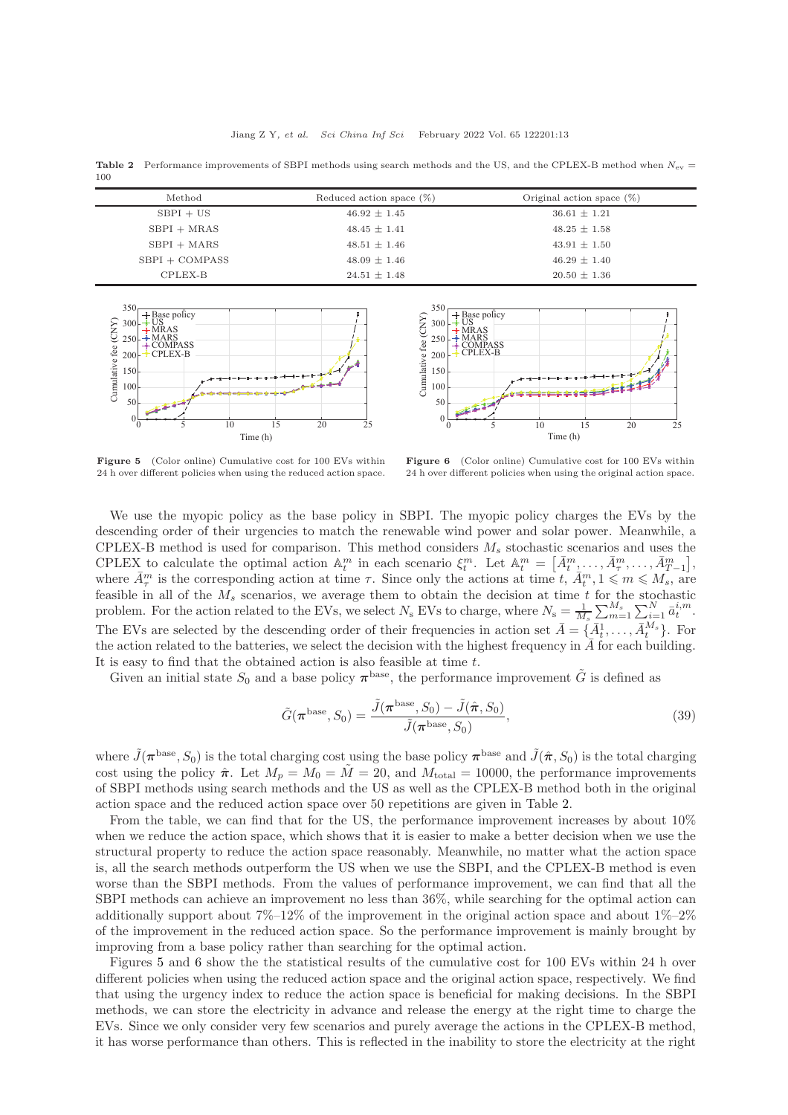<span id="page-12-0"></span>**Table 2** Performance improvements of SBPI methods using search methods and the US, and the CPLEX-B method when  $N_{\text{ev}} =$ 100

| Method           | Reduced action space $(\%)$ | Original action space $(\%)$ |  |
|------------------|-----------------------------|------------------------------|--|
| $SBPI + US$      | $46.92 \pm 1.45$            | $36.61 \pm 1.21$             |  |
| $SBPI + MRAS$    | $48.45 \pm 1.41$            | $48.25 \pm 1.58$             |  |
| $SBPI + MARS$    | $48.51 \pm 1.46$            | $43.91 \pm 1.50$             |  |
| $SBPI + COMPASS$ | $48.09 \pm 1.46$            | $46.29 \pm 1.40$             |  |
| CPLEX-B          | $24.51 \pm 1.48$            | $20.50 \pm 1.36$             |  |

<span id="page-12-1"></span>



Figure 5 (Color online) Cumulative cost for 100 EVs within 24 h over different policies when using the reduced action space.

Figure 6 (Color online) Cumulative cost for 100 EVs within 24 h over different policies when using the original action space.

We use the myopic policy as the base policy in SBPI. The myopic policy charges the EVs by the descending order of their urgencies to match the renewable wind power and solar power. Meanwhile, a CPLEX-B method is used for comparison. This method considers  $M_s$  stochastic scenarios and uses the CPLEX to calculate the optimal action  $\mathbb{A}_t^m$  in each scenario  $\xi_t^m$ . Let  $\mathbb{A}_t^m = \left[ \bar{A}_t^m, \ldots, \bar{A}_T^m, \ldots, \bar{A}_{T-1}^m \right],$ where  $\bar{A}^m_\tau$  is the corresponding action at time  $\tau$ . Since only the actions at time  $t, \bar{A}^m_t, 1 \leq m \leq M_s$ , are feasible in all of the  $M_s$  scenarios, we average them to obtain the decision at time t for the stochastic problem. For the action related to the EVs, we select  $N_{\rm s}$  EVs to charge, where  $N_{\rm s} = \frac{1}{M_s} \sum_{m=1}^{M_s} \sum_{i=1}^{N} \bar{a}_t^{i,m}$ . The EVs are selected by the descending order of their frequencies in action set  $\bar{A} = \{\bar{A}_t^1, \ldots, \bar{A}_t^{M_s}\}$ . For the action related to the batteries, we select the decision with the highest frequency in  $\bar{A}$  for each building. It is easy to find that the obtained action is also feasible at time t.

Given an initial state  $S_0$  and a base policy  $\pi^{\text{base}}$ , the performance improvement  $\tilde{G}$  is defined as

$$
\tilde{G}(\boldsymbol{\pi}^{\text{base}}, S_0) = \frac{\tilde{J}(\boldsymbol{\pi}^{\text{base}}, S_0) - \tilde{J}(\hat{\boldsymbol{\pi}}, S_0)}{\tilde{J}(\boldsymbol{\pi}^{\text{base}}, S_0)},
$$
\n(39)

where  $\tilde{J}(\pi^{\text{base}}, S_0)$  is the total charging cost using the base policy  $\pi^{\text{base}}$  and  $\tilde{J}(\hat{\pi}, S_0)$  is the total charging cost using the policy  $\hat{\pi}$ . Let  $M_p = M_0 = \tilde{M} = 20$ , and  $M_{\text{total}} = 10000$ , the performance improvements of SBPI methods using search methods and the US as well as the CPLEX-B method both in the original action space and the reduced action space over 50 repetitions are given in Table [2.](#page-12-0)

From the table, we can find that for the US, the performance improvement increases by about 10% when we reduce the action space, which shows that it is easier to make a better decision when we use the structural property to reduce the action space reasonably. Meanwhile, no matter what the action space is, all the search methods outperform the US when we use the SBPI, and the CPLEX-B method is even worse than the SBPI methods. From the values of performance improvement, we can find that all the SBPI methods can achieve an improvement no less than 36%, while searching for the optimal action can additionally support about  $7\%$ –12% of the improvement in the original action space and about  $1\%$ –2% of the improvement in the reduced action space. So the performance improvement is mainly brought by improving from a base policy rather than searching for the optimal action.

Figures [5](#page-12-1) and [6](#page-12-1) show the the statistical results of the cumulative cost for 100 EVs within 24 h over different policies when using the reduced action space and the original action space, respectively. We find that using the urgency index to reduce the action space is beneficial for making decisions. In the SBPI methods, we can store the electricity in advance and release the energy at the right time to charge the EVs. Since we only consider very few scenarios and purely average the actions in the CPLEX-B method, it has worse performance than others. This is reflected in the inability to store the electricity at the right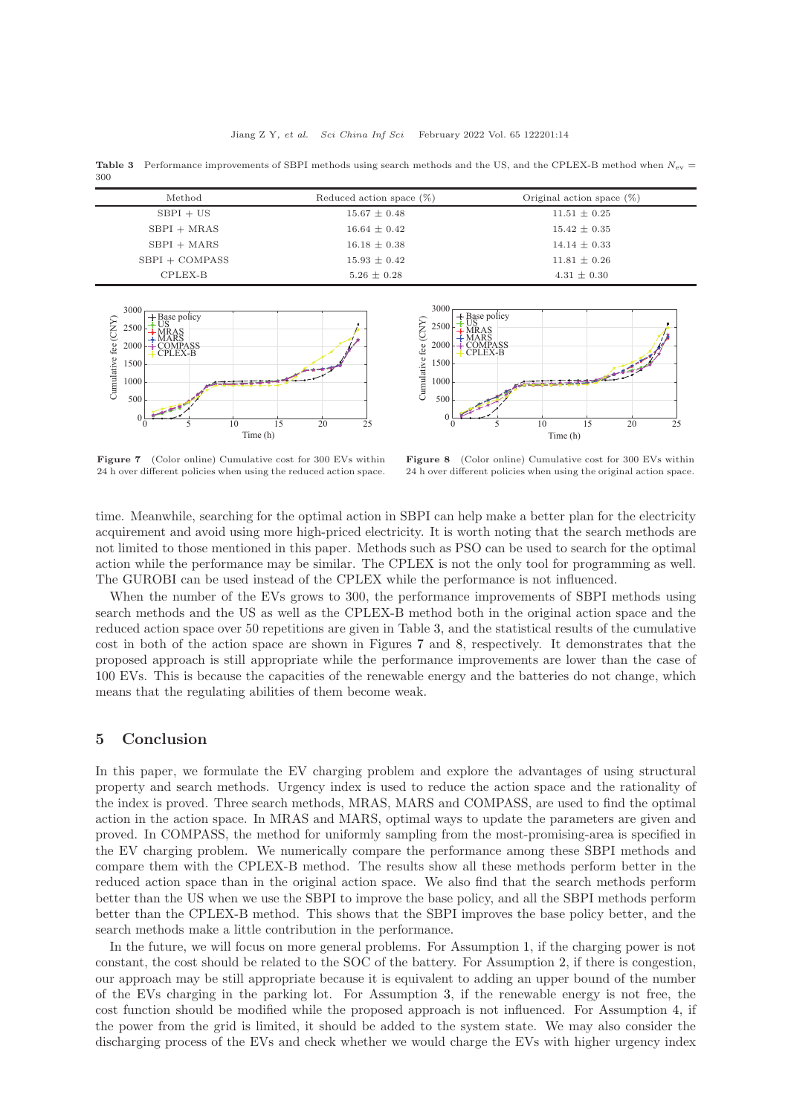<span id="page-13-0"></span>Table 3 Performance improvements of SBPI methods using search methods and the US, and the CPLEX-B method when  $N_{\rm ev}$  = 300

| Method           | Reduced action space $(\%)$ | Original action space $(\%)$ |  |
|------------------|-----------------------------|------------------------------|--|
| $SBPI + US$      | $15.67 \pm 0.48$            | $11.51 \pm 0.25$             |  |
| $SBPI + MRAS$    | $16.64 \pm 0.42$            | $15.42 \pm 0.35$             |  |
| $SBPI + MARS$    | $16.18 \pm 0.38$            | $14.14 \pm 0.33$             |  |
| $SBPI + COMPASS$ | $15.93 \pm 0.42$            | $11.81 \pm 0.26$             |  |
| CPLEX-B          | $5.26 \pm 0.28$             | $4.31 \pm 0.30$              |  |

<span id="page-13-1"></span>



Figure 7 (Color online) Cumulative cost for 300 EVs within 24 h over different policies when using the reduced action space.

Figure 8 (Color online) Cumulative cost for 300 EVs within 24 h over different policies when using the original action space.

time. Meanwhile, searching for the optimal action in SBPI can help make a better plan for the electricity acquirement and avoid using more high-priced electricity. It is worth noting that the search methods are not limited to those mentioned in this paper. Methods such as PSO can be used to search for the optimal action while the performance may be similar. The CPLEX is not the only tool for programming as well. The GUROBI can be used instead of the CPLEX while the performance is not influenced.

When the number of the EVs grows to 300, the performance improvements of SBPI methods using search methods and the US as well as the CPLEX-B method both in the original action space and the reduced action space over 50 repetitions are given in Table [3,](#page-13-0) and the statistical results of the cumulative cost in both of the action space are shown in Figures [7](#page-13-1) and [8,](#page-13-1) respectively. It demonstrates that the proposed approach is still appropriate while the performance improvements are lower than the case of 100 EVs. This is because the capacities of the renewable energy and the batteries do not change, which means that the regulating abilities of them become weak.

### 5 Conclusion

In this paper, we formulate the EV charging problem and explore the advantages of using structural property and search methods. Urgency index is used to reduce the action space and the rationality of the index is proved. Three search methods, MRAS, MARS and COMPASS, are used to find the optimal action in the action space. In MRAS and MARS, optimal ways to update the parameters are given and proved. In COMPASS, the method for uniformly sampling from the most-promising-area is specified in the EV charging problem. We numerically compare the performance among these SBPI methods and compare them with the CPLEX-B method. The results show all these methods perform better in the reduced action space than in the original action space. We also find that the search methods perform better than the US when we use the SBPI to improve the base policy, and all the SBPI methods perform better than the CPLEX-B method. This shows that the SBPI improves the base policy better, and the search methods make a little contribution in the performance.

In the future, we will focus on more general problems. For Assumption [1,](#page-2-1) if the charging power is not constant, the cost should be related to the SOC of the battery. For Assumption [2,](#page-2-2) if there is congestion, our approach may be still appropriate because it is equivalent to adding an upper bound of the number of the EVs charging in the parking lot. For Assumption [3,](#page-2-3) if the renewable energy is not free, the cost function should be modified while the proposed approach is not influenced. For Assumption [4,](#page-2-4) if the power from the grid is limited, it should be added to the system state. We may also consider the discharging process of the EVs and check whether we would charge the EVs with higher urgency index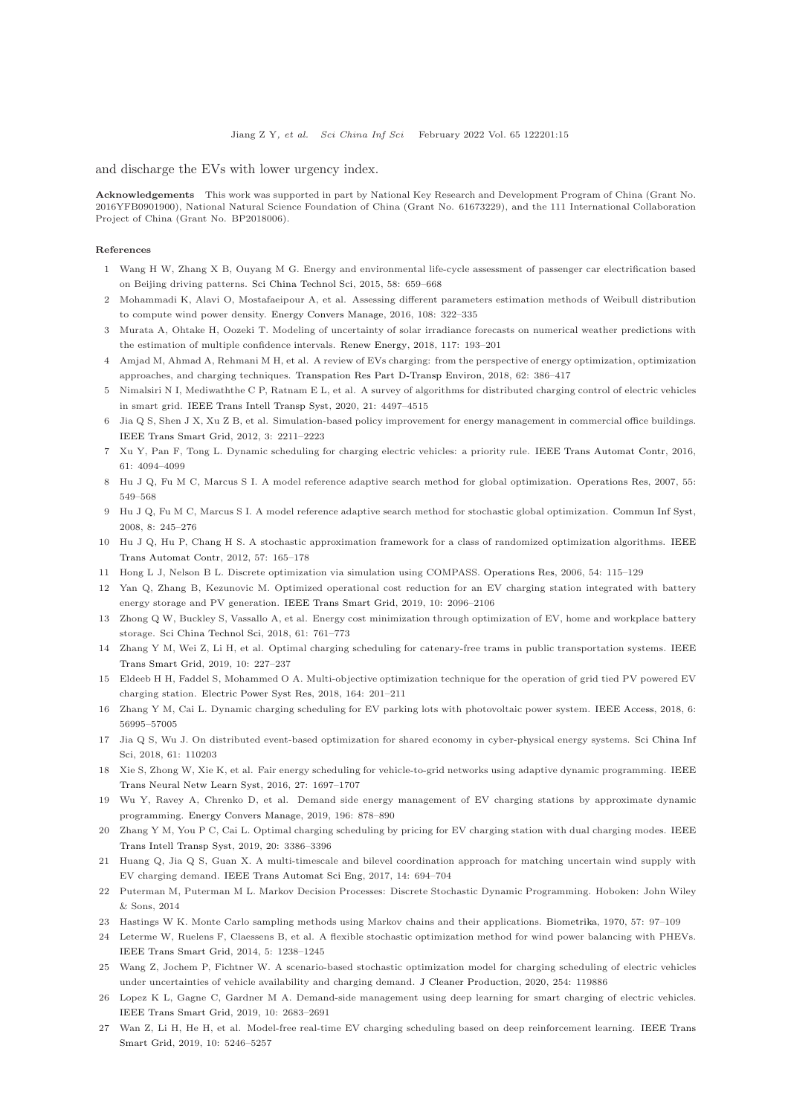and discharge the EVs with lower urgency index.

Acknowledgements This work was supported in part by National Key Research and Development Program of China (Grant No. 2016YFB0901900), National Natural Science Foundation of China (Grant No. 61673229), and the 111 International Collaboration Project of China (Grant No. BP2018006).

#### <span id="page-14-0"></span>References

- <span id="page-14-1"></span>1 Wang H W, Zhang X B, Ouyang M G. Energy and environmental life-cycle assessment of passenger car electrification based on Beijing driving patterns. [Sci China Technol Sci,](https://doi.org/10.1007/s11431-015-5786-3) 2015, 58: 659–668
- <span id="page-14-2"></span>2 Mohammadi K, Alavi O, Mostafaeipour A, et al. Assessing different parameters estimation methods of Weibull distribution to compute wind power density. [Energy Convers Manage,](https://doi.org/10.1016/j.enconman.2015.11.015) 2016, 108: 322–335
- <span id="page-14-3"></span>3 Murata A, Ohtake H, Oozeki T. Modeling of uncertainty of solar irradiance forecasts on numerical weather predictions with the estimation of multiple confidence intervals. [Renew Energy,](https://doi.org/10.1016/j.renene.2017.10.043) 2018, 117: 193–201
- <span id="page-14-4"></span>4 Amjad M, Ahmad A, Rehmani M H, et al. A review of EVs charging: from the perspective of energy optimization, optimization approaches, and charging techniques. [Transpation Res Part D-Transp Environ,](https://doi.org/10.1016/j.trd.2018.03.006) 2018, 62: 386–417
- <span id="page-14-5"></span>5 Nimalsiri N I, Mediwaththe C P, Ratnam E L, et al. A survey of algorithms for distributed charging control of electric vehicles in smart grid. [IEEE Trans Intell Transp Syst,](https://doi.org/10.1109/TITS.2019.2943620) 2020, 21: 4497–4515
- <span id="page-14-6"></span>6 Jia Q S, Shen J X, Xu Z B, et al. Simulation-based policy improvement for energy management in commercial office buildings. [IEEE Trans Smart Grid,](https://doi.org/10.1109/TSG.2012.2214069) 2012, 3: 2211–2223
- <span id="page-14-7"></span>7 Xu Y, Pan F, Tong L. Dynamic scheduling for charging electric vehicles: a priority rule. [IEEE Trans Automat Contr,](https://doi.org/10.1109/TAC.2016.2541305) 2016, 61: 4094–4099
- <span id="page-14-8"></span>8 Hu J Q, Fu M C, Marcus S I. A model reference adaptive search method for global optimization. [Operations Res,](https://doi.org/10.1287/opre.1060.0367) 2007, 55: 549–568
- <span id="page-14-9"></span>9 Hu J Q, Fu M C, Marcus S I. A model reference adaptive search method for stochastic global optimization. [Commun Inf Syst,](https://doi.org/10.4310/CIS.2008.v8.n3.a4) 2008, 8: 245–276
- <span id="page-14-10"></span>10 Hu J Q, Hu P, Chan[g H S. A stochastic approximation framework for a class of randomized optimization algorithms.](https://doi.org/10.1109/TAC.2011.2158128) IEEE Trans Automat Contr, 2012, 57: 165–178
- <span id="page-14-11"></span>11 Hong L J, Nelson B L. Discrete optimization via simulation using COMPASS. [Operations Res,](https://doi.org/10.1287/opre.1050.0237) 2006, 54: 115–129
- 12 Yan Q, Zhang B, Kezunovic M. Optimized operational cost reduction for an EV charging station integrated with battery energy storage and PV generation. [IEEE Trans Smart Grid,](https://doi.org/10.1109/TSG.2017.2788440) 2019, 10: 2096–2106
- <span id="page-14-12"></span>13 Zhong Q W, Buckley S, Vassallo A, et al. Energy cost minimization through optimization of EV, home and workplace battery storage. [Sci China Technol Sci,](https://doi.org/10.1007/s11431-017-9188-y) 2018, 61: 761–773
- <span id="page-14-13"></span>14 Zhang Y M, Wei [Z, Li H, et al. Optimal charging scheduling for catenary-free trams in public transportation systems.](https://doi.org/10.1109/TSG.2017.2737404) IEEE Trans Smart Grid, 2019, 10: 227–237
- <span id="page-14-14"></span>15 Eldeeb H H, Faddel S, Mohammed O A. Multi-objective optimization technique for the operation of grid tied PV powered EV charging station. [Electric Power Syst Res,](https://doi.org/10.1016/j.epsr.2018.08.004) 2018, 164: 201–211
- <span id="page-14-15"></span>16 Zhang Y M, Cai L. Dynamic charging scheduling for EV parking lots with photovoltaic power system. [IEEE Access,](https://doi.org/10.1109/ACCESS.2018.2873286) 2018, 6: 56995–57005
- <span id="page-14-16"></span>17 Jia [Q S, Wu J. On distributed event-based optimization for](https://doi.org/10.1007/s11432-018-9597-8) shared economy in cyber-physical energy systems. Sci China Inf Sci, 2018, 61: 110203
- <span id="page-14-17"></span>18 Xie S, Zhong W, Xie K, et al. Fair energy scheduling for vehicle-to-grid networks using adaptive dynamic programming. IEEE Trans Neural Netw Learn Syst, 2016, 27: 1697–1707
- <span id="page-14-18"></span>19 Wu Y, Ravey A, Chrenko D, et al. Demand side energy management of EV charging stations by approximate dynamic programming. [Energy Convers Manage,](https://doi.org/10.1016/j.enconman.2019.06.058) 2019, 196: 878–890
- <span id="page-14-19"></span>20 Zhang Y M, You P C, Cai L. Optimal charging scheduling by pricing for EV charging station with dual charging modes. IEEE Trans Intell Transp Syst, 2019, 20: 3386–3396
- 21 Huang Q, Jia Q S, Guan X. A multi-timescale and bilevel coordination approach for matching uncertain wind supply with EV charging demand. [IEEE Trans Automat Sci Eng,](https://doi.org/10.1109/TASE.2016.2585180) 2017, 14: 694–704
- <span id="page-14-20"></span>22 Puterman M, Puterman M L. Markov Decision Processes: Discrete Stochastic Dynamic Programming. Hoboken: John Wiley & Sons, 2014
- <span id="page-14-22"></span><span id="page-14-21"></span>23 Hastings W K. Monte Carlo sampling methods using Markov chains and their applications. [Biometrika,](https://doi.org/10.1093/biomet/57.1.97) 1970, 57: 97–109
- 24 Leterme W, Ruelens F, Claessens B, et al. A flexible stochastic optimization method for wind power balancing with PHEVs. [IEEE Trans Smart Grid,](https://doi.org/10.1109/TSG.2014.2302316) 2014, 5: 1238–1245
- <span id="page-14-24"></span><span id="page-14-23"></span>25 Wang Z, Jochem P, Fichtner W. A scenario-based stochastic optimization model for charging scheduling of electric vehicles under uncertainties of vehicle availability and charging demand. [J Cleaner Production,](https://doi.org/10.1016/j.jclepro.2019.119886) 2020, 254: 119886
- <span id="page-14-25"></span>26 Lopez K L, Gagne C, Gardner M A. Demand-side management using deep learning for smart charging of electric vehicles. [IEEE Trans Smart Grid,](https://doi.org/10.1109/TSG.2018.2808247) 2019, 10: 2683–2691
- 27 Wan Z, Li [H, He H, et al. Model-free real-time EV charging scheduling based on deep reinforcement learning.](https://doi.org/10.1109/TSG.2018.2879572) IEEE Trans Smart Grid, 2019, 10: 5246–5257